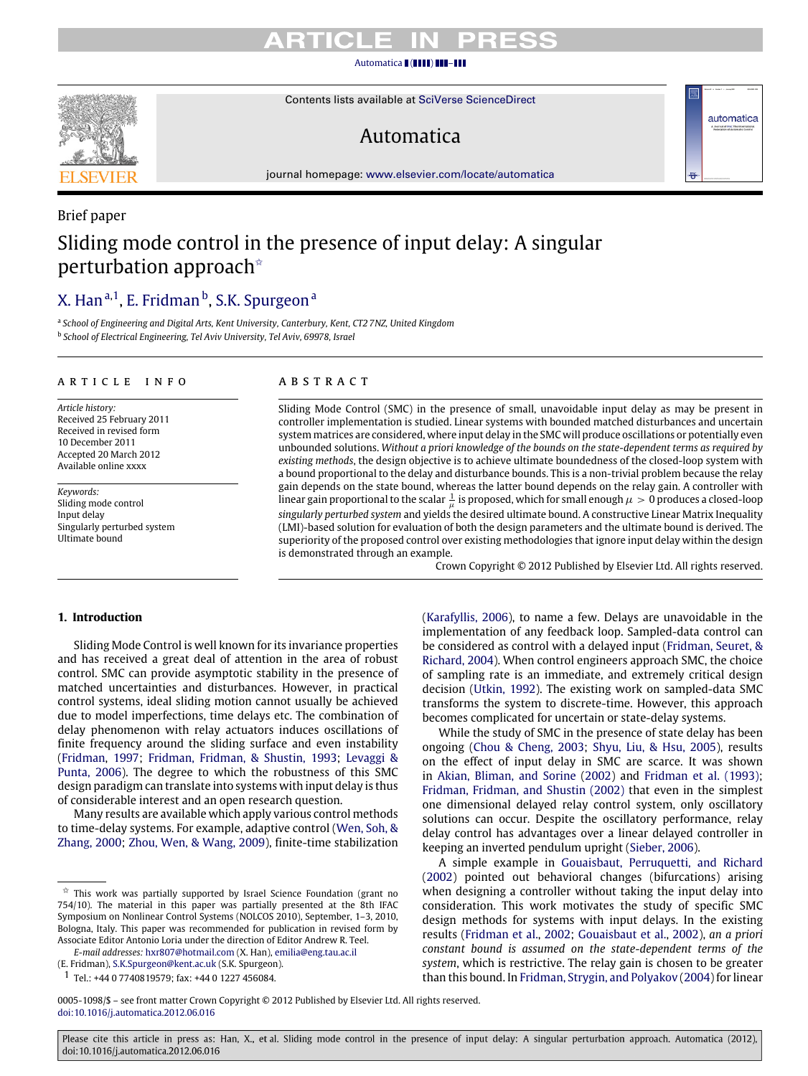# TICI E

### [Automatica](http://dx.doi.org/10.1016/j.automatica.2012.06.016) ( ( **1111) 111-111**

Contents lists available at [SciVerse ScienceDirect](http://www.elsevier.com/locate/automatica)

# Automatica

journal homepage: [www.elsevier.com/locate/automatica](http://www.elsevier.com/locate/automatica)

# Brief paper Sliding mode control in the presence of input delay: A singular perturbation approach<sup>\*</sup>

# [X. Han](#page-8-0) <sup>[a](#page-0-1)[,1](#page-0-2)</sup>, [E. Fridman](#page-8-1) <sup>[b](#page-0-3)</sup>, [S.K. Spurgeon](#page-8-2) <sup>a</sup>

<span id="page-0-3"></span><span id="page-0-1"></span>a *School of Engineering and Digital Arts, Kent University, Canterbury, Kent, CT2 7NZ, United Kingdom* b *School of Electrical Engineering, Tel Aviv University, Tel Aviv, 69978, Israel*

### A R T I C L E I N F O

*Article history:* Received 25 February 2011 Received in revised form 10 December 2011 Accepted 20 March 2012 Available online xxxx

*Keywords:* Sliding mode control Input delay Singularly perturbed system Ultimate bound

# a b s t r a c t

Sliding Mode Control (SMC) in the presence of small, unavoidable input delay as may be present in controller implementation is studied. Linear systems with bounded matched disturbances and uncertain system matrices are considered, where input delay in the SMC will produce oscillations or potentially even unbounded solutions. *Without a priori knowledge of the bounds on the state-dependent terms as required by existing methods*, the design objective is to achieve ultimate boundedness of the closed-loop system with a bound proportional to the delay and disturbance bounds. This is a non-trivial problem because the relay gain depends on the state bound, whereas the latter bound depends on the relay gain. A controller with linear gain proportional to the scalar  $\frac{1}{\mu}$  is proposed, which for small enough  $\mu > 0$  produces a closed-loop *singularly perturbed system* and yields the desired ultimate bound. A constructive Linear Matrix Inequality (LMI)-based solution for evaluation of both the design parameters and the ultimate bound is derived. The superiority of the proposed control over existing methodologies that ignore input delay within the design is demonstrated through an example.

Crown Copyright © 2012 Published by Elsevier Ltd. All rights reserved.

automatica

# **1. Introduction**

Sliding Mode Control is well known for its invariance properties and has received a great deal of attention in the area of robust control. SMC can provide asymptotic stability in the presence of matched uncertainties and disturbances. However, in practical control systems, ideal sliding motion cannot usually be achieved due to model imperfections, time delays etc. The combination of delay phenomenon with relay actuators induces oscillations of finite frequency around the sliding surface and even instability [\(Fridman,](#page-7-0) [1997;](#page-7-0) [Fridman,](#page-7-1) [Fridman,](#page-7-1) [&](#page-7-1) [Shustin,](#page-7-1) [1993;](#page-7-1) [Levaggi](#page-8-3) [&](#page-8-3) [Punta,](#page-8-3) [2006\)](#page-8-3). The degree to which the robustness of this SMC design paradigm can translate into systems with input delay is thus of considerable interest and an open research question.

Many results are available which apply various control methods to time-delay systems. For example, adaptive control [\(Wen,](#page-8-4) [Soh,](#page-8-4) [&](#page-8-4) [Zhang,](#page-8-4) [2000;](#page-8-4) [Zhou,](#page-8-5) [Wen,](#page-8-5) [&](#page-8-5) [Wang,](#page-8-5) [2009\)](#page-8-5), finite-time stabilization

*E-mail addresses:* [hxr807@hotmail.com](mailto:hxr807@hotmail.com) (X. Han), [emilia@eng.tau.ac.il](mailto:emilia@eng.tau.ac.il) (E. Fridman), [S.K.Spurgeon@kent.ac.uk](mailto:S.K.Spurgeon@kent.ac.uk) (S.K. Spurgeon).

<span id="page-0-2"></span>1 Tel.: +44 0 7740819579; fax: +44 0 1227 456084.

[\(Karafyllis,](#page-8-6) [2006\)](#page-8-6), to name a few. Delays are unavoidable in the implementation of any feedback loop. Sampled-data control can be considered as control with a delayed input [\(Fridman,](#page-8-7) [Seuret,](#page-8-7) [&](#page-8-7) [Richard,](#page-8-7) [2004\)](#page-8-7). When control engineers approach SMC, the choice of sampling rate is an immediate, and extremely critical design decision [\(Utkin,](#page-8-8) [1992\)](#page-8-8). The existing work on sampled-data SMC transforms the system to discrete-time. However, this approach becomes complicated for uncertain or state-delay systems.

While the study of SMC in the presence of state delay has been ongoing [\(Chou](#page-7-2) [&](#page-7-2) [Cheng,](#page-7-2) [2003;](#page-7-2) [Shyu,](#page-8-9) [Liu,](#page-8-9) [&](#page-8-9) [Hsu,](#page-8-9) [2005\)](#page-8-9), results on the effect of input delay in SMC are scarce. It was shown in [Akian,](#page-7-3) [Bliman,](#page-7-3) [and](#page-7-3) [Sorine](#page-7-3) [\(2002\)](#page-7-3) and [Fridman](#page-7-1) [et al.](#page-7-1) [\(1993\);](#page-7-1) [Fridman,](#page-8-10) [Fridman,](#page-8-10) [and](#page-8-10) [Shustin](#page-8-10) [\(2002\)](#page-8-10) that even in the simplest one dimensional delayed relay control system, only oscillatory solutions can occur. Despite the oscillatory performance, relay delay control has advantages over a linear delayed controller in keeping an inverted pendulum upright [\(Sieber,](#page-8-11) [2006\)](#page-8-11).

A simple example in [Gouaisbaut,](#page-8-12) [Perruquetti,](#page-8-12) [and](#page-8-12) [Richard](#page-8-12) [\(2002\)](#page-8-12) pointed out behavioral changes (bifurcations) arising when designing a controller without taking the input delay into consideration. This work motivates the study of specific SMC design methods for systems with input delays. In the existing results [\(Fridman](#page-8-10) [et al.,](#page-8-10) [2002;](#page-8-10) [Gouaisbaut](#page-8-12) [et al.,](#page-8-12) [2002\)](#page-8-12), *an a priori constant bound is assumed on the state-dependent terms of the system*, which is restrictive. The relay gain is chosen to be greater than this bound. In [Fridman,](#page-8-13) [Strygin,](#page-8-13) [and](#page-8-13) [Polyakov](#page-8-13) [\(2004\)](#page-8-13) for linear



<span id="page-0-0"></span> $\overrightarrow{x}$  This work was partially supported by Israel Science Foundation (grant no 754/10). The material in this paper was partially presented at the 8th IFAC Symposium on Nonlinear Control Systems (NOLCOS 2010), September, 1–3, 2010, Bologna, Italy. This paper was recommended for publication in revised form by Associate Editor Antonio Loria under the direction of Editor Andrew R. Teel.

<sup>0005-1098/\$ –</sup> see front matter Crown Copyright © 2012 Published by Elsevier Ltd. All rights reserved. [doi:10.1016/j.automatica.2012.06.016](http://dx.doi.org/10.1016/j.automatica.2012.06.016)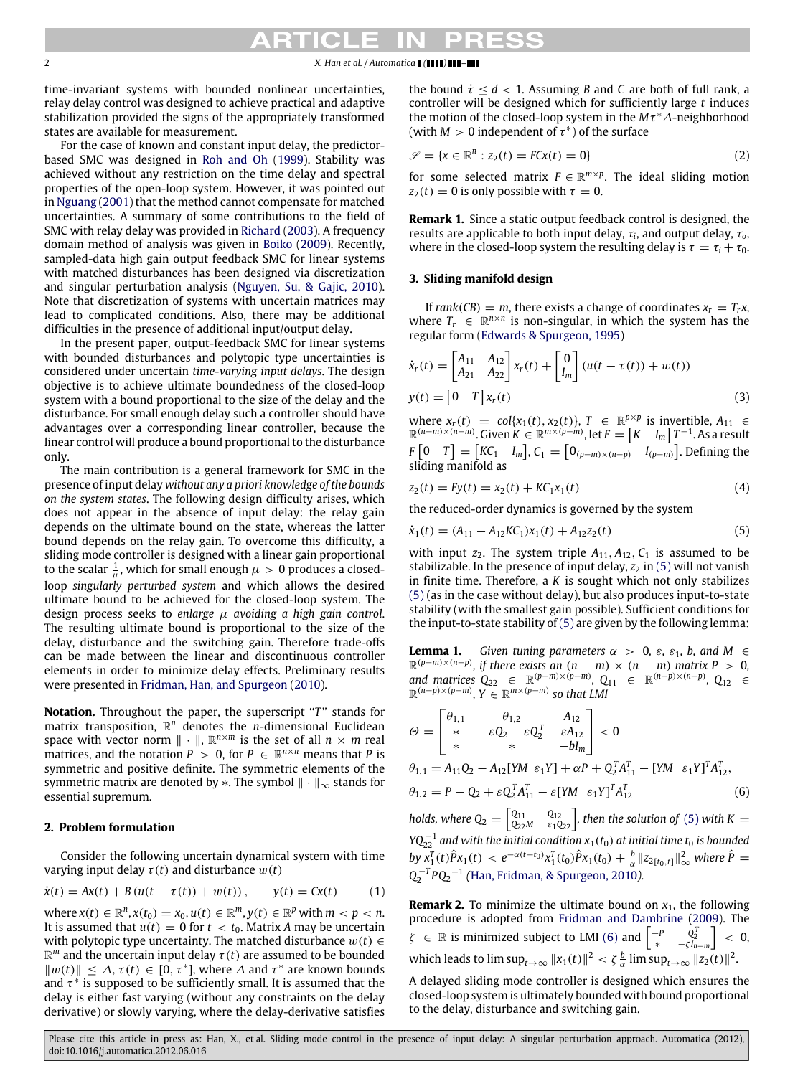# 2 *X. Han et al. / Automatica* **1 (1111) 111-111**

time-invariant systems with bounded nonlinear uncertainties, relay delay control was designed to achieve practical and adaptive stabilization provided the signs of the appropriately transformed states are available for measurement.

For the case of known and constant input delay, the predictorbased SMC was designed in [Roh](#page-8-14) [and](#page-8-14) [Oh](#page-8-14) [\(1999\)](#page-8-14). Stability was achieved without any restriction on the time delay and spectral properties of the open-loop system. However, it was pointed out in [Nguang](#page-8-15) [\(2001\)](#page-8-15) that the method cannot compensate for matched uncertainties. A summary of some contributions to the field of SMC with relay delay was provided in [Richard](#page-8-16) [\(2003\)](#page-8-16). A frequency domain method of analysis was given in [Boiko](#page-7-4) [\(2009\)](#page-7-4). Recently, sampled-data high gain output feedback SMC for linear systems with matched disturbances has been designed via discretization and singular perturbation analysis [\(Nguyen,](#page-8-17) [Su,](#page-8-17) [&](#page-8-17) [Gajic,](#page-8-17) [2010\)](#page-8-17). Note that discretization of systems with uncertain matrices may lead to complicated conditions. Also, there may be additional difficulties in the presence of additional input/output delay.

In the present paper, output-feedback SMC for linear systems with bounded disturbances and polytopic type uncertainties is considered under uncertain *time-varying input delays*. The design objective is to achieve ultimate boundedness of the closed-loop system with a bound proportional to the size of the delay and the disturbance. For small enough delay such a controller should have advantages over a corresponding linear controller, because the linear control will produce a bound proportional to the disturbance only.

The main contribution is a general framework for SMC in the presence of input delay *without any a priori knowledge of the bounds on the system states*. The following design difficulty arises, which does not appear in the absence of input delay: the relay gain depends on the ultimate bound on the state, whereas the latter bound depends on the relay gain. To overcome this difficulty, a sliding mode controller is designed with a linear gain proportional to the scalar  $\frac{1}{\mu}$ , which for small enough  $\mu > 0$  produces a closedloop *singularly perturbed system* and which allows the desired ultimate bound to be achieved for the closed-loop system. The design process seeks to *enlarge* µ *avoiding a high gain control*. The resulting ultimate bound is proportional to the size of the delay, disturbance and the switching gain. Therefore trade-offs can be made between the linear and discontinuous controller elements in order to minimize delay effects. Preliminary results were presented in [Fridman,](#page-8-18) [Han,](#page-8-18) [and](#page-8-18) [Spurgeon](#page-8-18) [\(2010\)](#page-8-18).

**Notation.** Throughout the paper, the superscript "*T*" stands for matrix transposition, R *<sup>n</sup>* denotes the *n*-dimensional Euclidean space with vector norm  $\| \cdot \|$ ,  $\mathbb{R}^{n \times m}$  is the set of all  $n \times m$  real matrices, and the notation  $P > 0$ , for  $P \in \mathbb{R}^{n \times n}$  means that P is symmetric and positive definite. The symmetric elements of the symmetric matrix are denoted by  $\ast$ . The symbol  $\|\cdot\|_{\infty}$  stands for essential supremum.

# **2. Problem formulation**

Consider the following uncertain dynamical system with time varying input delay  $\tau(t)$  and disturbance  $w(t)$ 

$$
\dot{x}(t) = Ax(t) + B(u(t - \tau(t)) + w(t)), \qquad y(t) = Cx(t) \tag{1}
$$

 $\mathbf{w}$ here  $x(t) \in \mathbb{R}^n$ ,  $x(t_0) = x_0$ ,  $u(t) \in \mathbb{R}^m$ ,  $y(t) \in \mathbb{R}^p$  with  $m < p < n$ . It is assumed that  $u(t) = 0$  for  $t < t_0$ . Matrix *A* may be uncertain with polytopic type uncertainty. The matched disturbance  $w(t) \in$  $\mathbb{R}^m$  and the uncertain input delay  $\tau(t)$  are assumed to be bounded  $||w(t)|| \leq \Delta$ ,  $\tau(t) \in [0, \tau^*]$ , where  $\Delta$  and  $\tau^*$  are known bounds and  $\tau^*$  is supposed to be sufficiently small. It is assumed that the delay is either fast varying (without any constraints on the delay derivative) or slowly varying, where the delay-derivative satisfies the bound  $\dot{\tau} < d < 1$ . Assuming *B* and *C* are both of full rank, a controller will be designed which for sufficiently large *t* induces the motion of the closed-loop system in the *M*τ <sup>∗</sup>∆-neighborhood (with  $M > 0$  independent of  $\tau^*$ ) of the surface

<span id="page-1-5"></span>
$$
\mathcal{S} = \{x \in \mathbb{R}^n : z_2(t) = FCx(t) = 0\}
$$
\n<sup>(2)</sup>

for some selected matrix  $F \in \mathbb{R}^{m \times p}$ . The ideal sliding motion  $z_2(t) = 0$  is only possible with  $\tau = 0$ .

**Remark 1.** Since a static output feedback control is designed, the results are applicable to both input delay, τ*<sup>i</sup>* , and output delay, τ*o*, where in the closed-loop system the resulting delay is  $\tau = \tau_i + \tau_0$ .

# **3. Sliding manifold design**

If *rank*(*CB*) = *m*, there exists a change of coordinates  $x_r = T_r x$ , where  $T_r \in \mathbb{R}^{n \times n}$  is non-singular, in which the system has the regular form [\(Edwards](#page-7-5) [&](#page-7-5) [Spurgeon,](#page-7-5) [1995\)](#page-7-5)

$$
\dot{x}_r(t) = \begin{bmatrix} A_{11} & A_{12} \\ A_{21} & A_{22} \end{bmatrix} x_r(t) + \begin{bmatrix} 0 \\ I_m \end{bmatrix} (u(t - \tau(t)) + w(t))
$$
  
\n
$$
y(t) = \begin{bmatrix} 0 & T \end{bmatrix} x_r(t)
$$
\n(3)

<span id="page-1-2"></span>where  $x_r(t) = col{x_1(t), x_2(t)}, T \in \mathbb{R}^{p \times p}$  is invertible,  $A_{11} \in \mathbb{R}^{(n-m)\times(n-m)}$ . Given  $K \in \mathbb{R}^{m\times(p-m)}$ , let  $F = [K \t I_m] T^{-1}$ . As a result  $F\left[0 \mid T\right] = \left[KC_1 \mid I_m\right], C_1 = \left[0_{(p-m)\times(n-p)} \mid I_{(p-m)}\right].$  Defining the sliding manifold as

$$
z_2(t) = Fy(t) = x_2(t) + KC_1 x_1(t)
$$
\n(4)

<span id="page-1-6"></span><span id="page-1-0"></span>the reduced-order dynamics is governed by the system

$$
\dot{x}_1(t) = (A_{11} - A_{12}KC_1)x_1(t) + A_{12}z_2(t)
$$
\n(5)

with input  $z_2$ . The system triple  $A_{11}$ ,  $A_{12}$ ,  $C_1$  is assumed to be stabilizable. In the presence of input delay,  $z_2$  in [\(5\)](#page-1-0) will not vanish in finite time. Therefore, a *K* is sought which not only stabilizes [\(5\)](#page-1-0) (as in the case without delay), but also produces input-to-state stability (with the smallest gain possible). Sufficient conditions for the input-to-state stability of  $(5)$  are given by the following lemma:

<span id="page-1-3"></span>**Lemma 1.** *Given tuning parameters*  $\alpha > 0$ ,  $\varepsilon$ ,  $\varepsilon_1$ , b, and M  $\in$  $\mathbb{R}^{(p-m)\times(n-p)}$ , if there exists an  $(n - m) \times (n - m)$  matrix P > 0, and matrices  $Q_{22} \in \mathbb{R}^{(p-m)\times(p-m)}$ ,  $Q_{11} \in \mathbb{R}^{(n-p)\times(n-p)}$ ,  $Q_{12} \in \mathbb{R}^{(n-p)\times(p-m)}$ ,  $Y \in \mathbb{R}^{m\times(p-m)}$  so that LMI

$$
\Theta = \begin{bmatrix} \theta_{1,1} & \theta_{1,2} & A_{12} \\ * & -\varepsilon Q_2 - \varepsilon Q_2^T & \varepsilon A_{12} \\ * & * & -bI_m \end{bmatrix} < 0
$$
  
\n
$$
\theta_{1,1} = A_{11}Q_2 - A_{12}[YM \varepsilon_1 Y] + \alpha P + Q_2^T A_{11}^T - [YM \varepsilon_1 Y]^T A_{12}^T,
$$
  
\n
$$
\theta_{1,2} = P - Q_2 + \varepsilon Q_2^T A_{11}^T - \varepsilon [YM \varepsilon_1 Y]^T A_{12}^T
$$
\n(6)

<span id="page-1-1"></span>*holds, where*  $Q_2 = \begin{bmatrix} Q_{11} & Q_{12} \ Q_{22}M & \varepsilon_1 Q_{22} \end{bmatrix}$ , then the solution of [\(5\)](#page-1-0) with K  $=$  $YQ_{22}^{-1}$  and with the initial condition  $x_1(t_0)$  at initial time  $t_0$  is bounded *by*  $\overline{x}_1^T(t)\hat{P}x_1(t) < e^{-\alpha(t-t_0)}x_1^T(t_0)\hat{P}x_1(t_0) + \frac{b}{\alpha}||z_{2[t_0,t]}||^2_{\infty}$  where  $\hat{P} =$ *Q* −*T* 2 *PQ*<sup>2</sup> −1 *(*[Han,](#page-8-19) [Fridman,](#page-8-19) [&](#page-8-19) [Spurgeon,](#page-8-19) [2010](#page-8-19)*).*

<span id="page-1-4"></span>**Remark 2.** To minimize the ultimate bound on  $x_1$ , the following procedure is adopted from [Fridman](#page-7-6) [and](#page-7-6) [Dambrine](#page-7-6) [\(2009\)](#page-7-6). The  $\zeta \in \mathbb{R}$  is minimized subject to LMI [\(6\)](#page-1-1) and  $\begin{bmatrix} -P & Q_2^T \ * & -\zeta I_{n-m} \end{bmatrix} < 0$ which leads to  $\limsup_{t\to\infty} \|x_1(t)\|^2 < \zeta \frac{b}{\alpha} \limsup_{t\to\infty} \|z_2(t)\|^2$ .

A delayed sliding mode controller is designed which ensures the closed-loop system is ultimately bounded with bound proportional to the delay, disturbance and switching gain.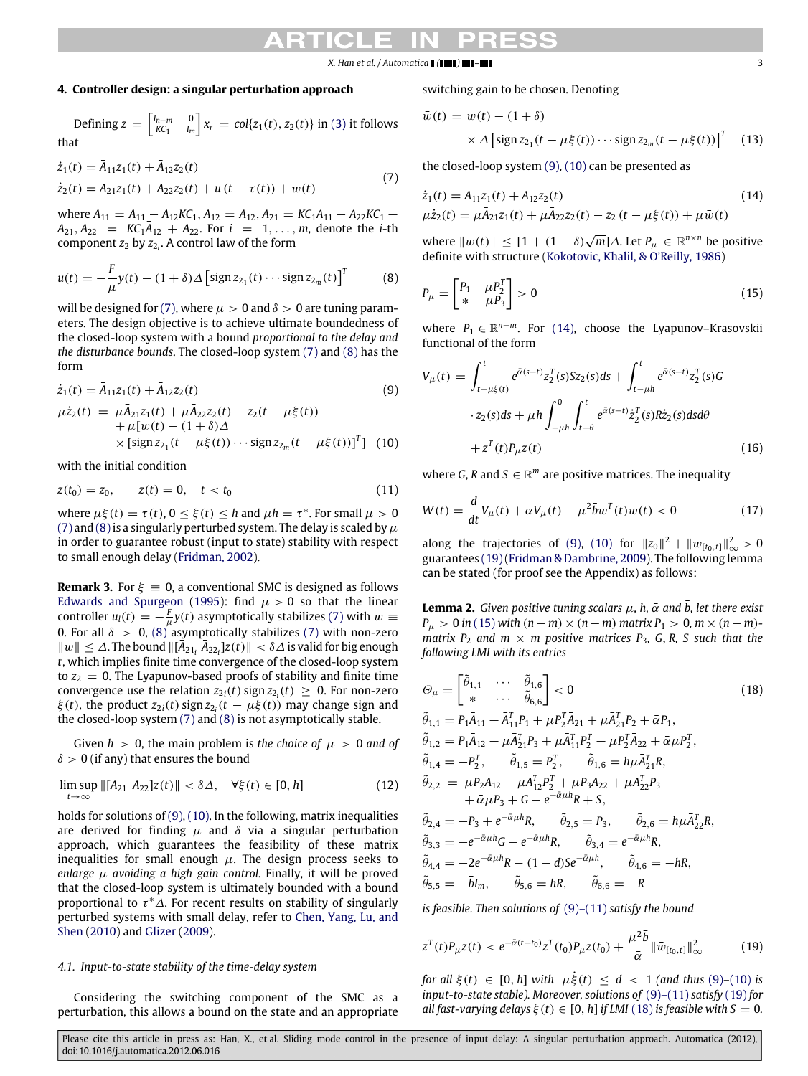# **4. Controller design: a singular perturbation approach**

Defining 
$$
z = \begin{bmatrix} I_{n-m} & 0 \\ kC_1 & I_m \end{bmatrix} x_r = col\{z_1(t), z_2(t)\}
$$
 in (3) it follows that

$$
\begin{aligned} \dot{z}_1(t) &= \bar{A}_{11} z_1(t) + \bar{A}_{12} z_2(t) \\ \dot{z}_2(t) &= \bar{A}_{21} z_1(t) + \bar{A}_{22} z_2(t) + u(t - \tau(t)) + w(t) \end{aligned} \tag{7}
$$

 $\overline{A}_{11} = A_{11} - A_{12} K C_1, \overline{A}_{12} = A_{12}, \overline{A}_{21} = K C_1 \overline{A}_{11} - A_{22} K C_1 +$  $A_{21}, A_{22} = K C_1 \overline{A}_{12} + A_{22}$ . For  $i = 1, ..., m$ , denote the *i*-th component *z*<sup>2</sup> by *z*<sup>2</sup>*<sup>i</sup>* . A control law of the form

$$
u(t) = -\frac{F}{\mu}y(t) - (1+\delta)\Delta \left[\text{sign}\, z_{2_1}(t) \cdots \text{sign}\, z_{2_m}(t)\right]^T\tag{8}
$$

will be designed for [\(7\),](#page-2-0) where  $\mu > 0$  and  $\delta > 0$  are tuning parameters. The design objective is to achieve ultimate boundedness of the closed-loop system with a bound *proportional to the delay and the disturbance bounds*. The closed-loop system [\(7\)](#page-2-0) and [\(8\)](#page-2-1) has the form

$$
\dot{z}_1(t) = \bar{A}_{11}z_1(t) + \bar{A}_{12}z_2(t)
$$
\n(9)

$$
\mu \dot{z}_2(t) = \mu \ddot{A}_{21} z_1(t) + \mu \ddot{A}_{22} z_2(t) - z_2(t - \mu \xi(t)) \n+ \mu [w(t) - (1 + \delta) \Delta \n\times [\text{sign } z_{21}(t - \mu \xi(t)) \cdots \text{sign } z_{2m}(t - \mu \xi(t))]^T ] \tag{10}
$$

with the initial condition

$$
z(t_0) = z_0, \qquad z(t) = 0, \quad t < t_0 \tag{11}
$$

where  $\mu \xi(t) = \tau(t)$ ,  $0 \le \xi(t) \le h$  and  $\mu h = \tau^*$ . For small  $\mu > 0$ [\(7\)](#page-2-0) and (8) is a singularly perturbed system. The delay is scaled by  $\mu$ in order to guarantee robust (input to state) stability with respect to small enough delay [\(Fridman,](#page-7-7) [2002\)](#page-7-7).

**Remark 3.** For  $\xi \equiv 0$ , a conventional SMC is designed as follows [Edwards](#page-7-5) [and](#page-7-5) [Spurgeon](#page-7-5) [\(1995\)](#page-7-5): find  $\mu > 0$  so that the linear controller  $u_l(t) = -\frac{F}{\mu}y(t)$  asymptotically stabilizes [\(7\)](#page-2-0) with  $w \equiv$ 0. For all  $\delta > 0$ ,  $(8)$  asymptotically stabilizes [\(7\)](#page-2-0) with non-zero  $||w|| ≤ Δ$ . The bound  $||[A_{21} \overline{A}_{22} |Z(t)|| < δΔ$  is valid for big enough *t*, which implies finite time convergence of the closed-loop system to  $z_2 = 0$ . The Lyapunov-based proofs of stability and finite time convergence use the relation  $z_{2i}(t)$  sign  $z_{2i}(t) \geq 0$ . For non-zero  $\xi(t)$ , the product  $z_{2i}(t)$  sign  $z_{2i}(t - \mu \xi(t))$  may change sign and the closed-loop system [\(7\)](#page-2-0) and [\(8\)](#page-2-1) is not asymptotically stable.

Given  $h > 0$ , the main problem is *the choice of*  $\mu > 0$  *and of*  $\delta > 0$  (if any) that ensures the bound

$$
\limsup_{t \to \infty} \|[\bar{A}_{21} \ \bar{A}_{22}]z(t)\| < \delta \Delta, \quad \forall \xi(t) \in [0, h] \tag{12}
$$

holds for solutions of [\(9\),](#page-2-2) [\(10\).](#page-2-3) In the following, matrix inequalities are derived for finding  $\mu$  and  $\delta$  via a singular perturbation approach, which guarantees the feasibility of these matrix inequalities for small enough  $\mu$ . The design process seeks to *enlarge*  $\mu$  *avoiding a high gain control.* Finally, it will be proved that the closed-loop system is ultimately bounded with a bound proportional to  $\tau^*\Delta$ . For recent results on stability of singularly perturbed systems with small delay, refer to [Chen,](#page-7-8) [Yang,](#page-7-8) [Lu,](#page-7-8) [and](#page-7-8) [Shen](#page-7-8) [\(2010\)](#page-7-8) and [Glizer](#page-8-20) [\(2009\)](#page-8-20).

# *4.1. Input-to-state stability of the time-delay system*

Considering the switching component of the SMC as a perturbation, this allows a bound on the state and an appropriate switching gain to be chosen. Denoting

<span id="page-2-10"></span>
$$
\bar{w}(t) = w(t) - (1 + \delta)
$$
  
 
$$
\times \Delta \left[ sign z_{2_1}(t - \mu \xi(t)) \cdots sign z_{2_m}(t - \mu \xi(t)) \right]^T
$$
 (13)

<span id="page-2-0"></span>the closed-loop system [\(9\),](#page-2-2) [\(10\)](#page-2-3) can be presented as

<span id="page-2-4"></span>
$$
\begin{aligned} \dot{z}_1(t) &= \bar{A}_{11} z_1(t) + \bar{A}_{12} z_2(t) & (14) \\ \mu \dot{z}_2(t) &= \mu \bar{A}_{21} z_1(t) + \mu \bar{A}_{22} z_2(t) - z_2(t - \mu \xi(t)) + \mu \bar{w}(t) \end{aligned}
$$

 $\text{where } \|\bar{w}(t)\| \leq [1 + (1 + \delta)\sqrt{m}]\Delta.$  Let  $P_{\mu} \in \mathbb{R}^{n \times n}$  be positive definite with structure [\(Kokotovic,](#page-8-21) [Khalil,](#page-8-21) [&](#page-8-21) [O'Reilly,](#page-8-21) [1986\)](#page-8-21)

<span id="page-2-6"></span><span id="page-2-1"></span>
$$
P_{\mu} = \begin{bmatrix} P_1 & \mu P_2^T \\ * & \mu P_3 \end{bmatrix} > 0
$$
\n(15)

where  $P_1 \in \mathbb{R}^{n-m}$ . For [\(14\),](#page-2-4) choose the Lyapunov–Krasovskii functional of the form

<span id="page-2-3"></span><span id="page-2-2"></span>
$$
V_{\mu}(t) = \int_{t-\mu\xi(t)}^{t} e^{\bar{\alpha}(s-t)} z_2^{\mathrm{T}}(s) S z_2(s) ds + \int_{t-\mu h}^{t} e^{\bar{\alpha}(s-t)} z_2^{\mathrm{T}}(s) G
$$
  

$$
z_2(s) ds + \mu h \int_{-\mu h}^{0} \int_{t+\theta}^{t} e^{\bar{\alpha}(s-t)} \dot{z}_2^{\mathrm{T}}(s) R \dot{z}_2(s) ds d\theta
$$
  

$$
+ z^{\mathrm{T}}(t) P_{\mu} z(t) \qquad (16)
$$

<span id="page-2-11"></span>where *G*, *R* and  $S \in \mathbb{R}^m$  are positive matrices. The inequality

<span id="page-2-13"></span><span id="page-2-12"></span>
$$
W(t) = \frac{d}{dt}V_{\mu}(t) + \bar{\alpha}V_{\mu}(t) - \mu^{2}\bar{b}\bar{w}^{T}(t)\bar{w}(t) < 0
$$
 (17)

along the trajectories of [\(9\),](#page-2-2) [\(10\)](#page-2-3) for  $||z_0||^2 + ||\bar{w}_{[t_0,t]}||^2_{\infty} > 0$ guarantees [\(19\)](#page-2-5)[\(Fridman](#page-7-6) [&](#page-7-6) [Dambrine,](#page-7-6) [2009\)](#page-7-6). The following lemma can be stated (for proof see the Appendix) as follows:

<span id="page-2-9"></span>**Lemma 2.** *Given positive tuning scalars*  $\mu$ , *h*,  $\bar{\alpha}$  *and*  $\bar{b}$ *, let there exist*  $P_{\mu} > 0$  *in* [\(15\)](#page-2-6) *with*  $(n - m) \times (n - m)$  *matrix*  $P_1 > 0$ ,  $m \times (n - m)$ *matrix*  $P_2$  *and*  $m \times m$  *positive matrices*  $P_3$ , *G*, *R*, *S such that the following LMI with its entries*

<span id="page-2-7"></span>
$$
\Theta_{\mu} = \begin{bmatrix} \tilde{\theta}_{1,1} & \cdots & \tilde{\theta}_{1,6} \\ * & \cdots & \tilde{\theta}_{6,6} \end{bmatrix} < 0
$$
\n
$$
\tilde{\theta}_{1,1} = P_1 \bar{A}_{11} + \bar{A}_{11}^T P_1 + \mu P_2^T \bar{A}_{21} + \mu \bar{A}_{21}^T P_2 + \bar{\alpha} P_1,
$$
\n(18)

$$
\tilde{\theta}_{1,2} = P_1 \bar{A}_{12} + \mu \bar{A}_{21}^T P_3 + \mu \bar{A}_{11}^T P_2^T + \mu P_2^T \bar{A}_{22} + \bar{\alpha} \mu P_2^T,
$$
\n
$$
\tilde{\theta}_{1,4} = -P_2^T, \qquad \tilde{\theta}_{1,5} = P_2^T, \qquad \tilde{\theta}_{1,6} = h\mu \bar{A}_{21}^T R,
$$
\n
$$
\tilde{\theta}_{2,2} = \mu P_2 \bar{A}_{12} + \mu \bar{A}_{12}^T P_2^T + \mu P_3 \bar{A}_{22} + \mu \bar{A}_{22}^T P_3
$$
\n
$$
+ \bar{\alpha} \mu P_3 + G - e^{-\bar{\alpha} \mu h} R + S,
$$

<span id="page-2-8"></span>
$$
\begin{aligned}\n\tilde{\theta}_{2,4} &= -P_3 + e^{-\tilde{\alpha}\mu h} R, & \tilde{\theta}_{2,5} &= P_3, & \tilde{\theta}_{2,6} &= h\mu \bar{A}_{22}^T R, \\
\tilde{\theta}_{3,3} &= -e^{-\tilde{\alpha}\mu h} G - e^{-\tilde{\alpha}\mu h} R, & \tilde{\theta}_{3,4} &= e^{-\tilde{\alpha}\mu h} R, \\
\tilde{\theta}_{4,4} &= -2e^{-\tilde{\alpha}\mu h} R - (1-d)Se^{-\tilde{\alpha}\mu h}, & \tilde{\theta}_{4,6} &= -hR, \\
\tilde{\theta}_{5,5} &= -\bar{b}I_m, & \tilde{\theta}_{5,6} &= hR, & \tilde{\theta}_{6,6} &= -R\n\end{aligned}
$$

<span id="page-2-5"></span>*is feasible. Then solutions of* [\(9\)–\(11\)](#page-2-2) *satisfy the bound*

$$
z^{T}(t)P_{\mu}z(t) < e^{-\bar{\alpha}(t-t_{0})}z^{T}(t_{0})P_{\mu}z(t_{0}) + \frac{\mu^{2}\bar{b}}{\bar{\alpha}}\|\bar{w}_{[t_{0},t]}\|_{\infty}^{2}
$$
(19)

*for all*  $\xi(t) \in [0, h]$  *with*  $\mu \dot{\xi}(t) \leq d \leq 1$  *(and thus* [\(9\)](#page-2-2)–[\(10\)](#page-2-3) *is input-to-state stable). Moreover, solutions of* [\(9\)–\(11\)](#page-2-2) *satisfy* [\(19\)](#page-2-5) *for all fast-varying delays*  $\xi(t) \in [0, h]$  *if LMI* [\(18\)](#page-2-7) *is feasible with*  $S = 0$ *.*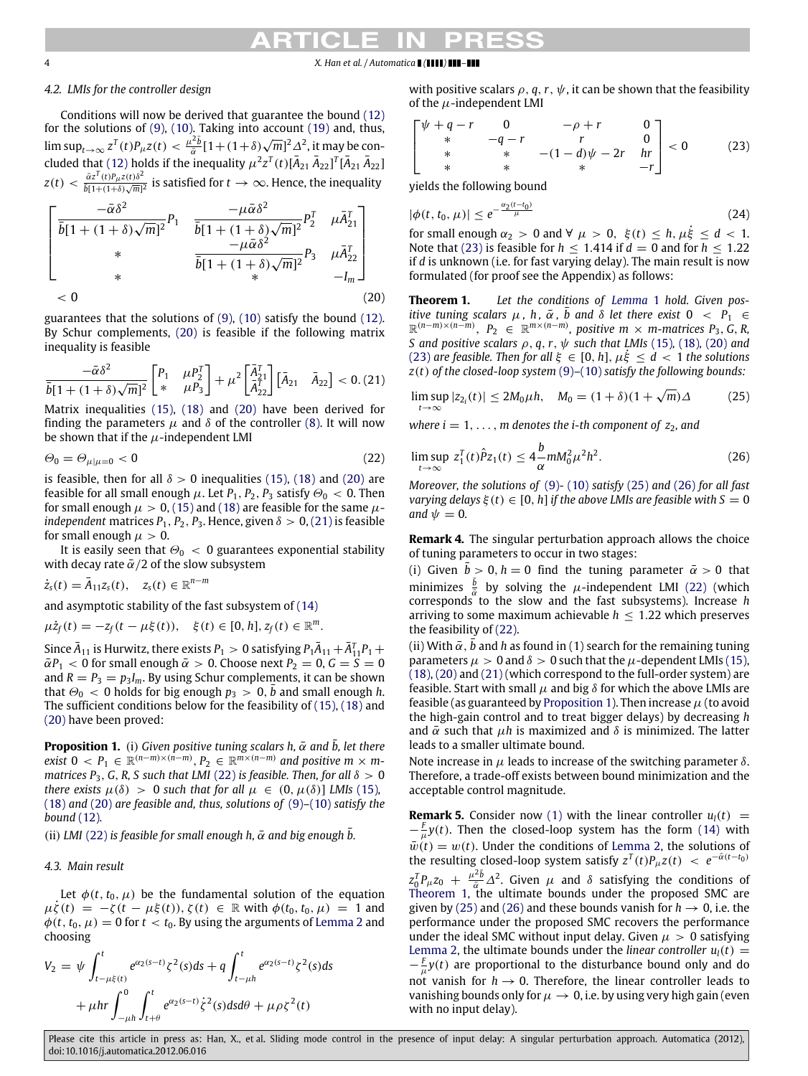# *4.2. LMIs for the controller design*

Conditions will now be derived that guarantee the bound [\(12\)](#page-2-8) for the solutions of [\(9\),](#page-2-2) [\(10\).](#page-2-3) Taking into account [\(19\)](#page-2-5) and, thus,  $\limsup_{t\to\infty} z^T(t)P_\mu z(t) < \frac{\mu^2 \bar{b}}{\bar{\alpha}}$  $\frac{2\bar{b}}{a}[1+(1+\delta)\sqrt{m}]^2\Delta^2$ , it may be con-cluded that [\(12\)](#page-2-8) holds if the inequality  $\mu^2 z^T(t)[\bar A_{21}\,\bar A_{22}]^T[\bar A_{21}\,\bar A_{22}]$  $z(t) < \frac{\bar{\alpha}z^T(t)P_{\mu}z(t)\delta^2}{\bar{b}[1+(1+\delta)\sqrt{m}]^2}$  is satisfied for  $t\to\infty$ . Hence, the inequality

$$
\begin{bmatrix}\n\frac{-\bar{\alpha}\delta^2}{\bar{b}[1+(1+\delta)\sqrt{m}]^2}P_1 & \frac{-\mu\bar{\alpha}\delta^2}{\bar{b}[1+(1+\delta)\sqrt{m}]^2}P_2^T & \mu\bar{A}_{21}^T \\
* & \frac{-\mu\bar{\alpha}\delta^2}{\bar{b}[1+(1+\delta)\sqrt{m}]^2}P_3 & \mu\bar{A}_{22}^T \\
* & \bar{b}[1+(1+\delta)\sqrt{m}]^2 & -I_m\n\end{bmatrix}
$$
\n
$$
< 0
$$
\n(20)

guarantees that the solutions of [\(9\),](#page-2-2) [\(10\)](#page-2-3) satisfy the bound [\(12\).](#page-2-8) By Schur complements, [\(20\)](#page-3-0) is feasible if the following matrix inequality is feasible

$$
\frac{-\bar{\alpha}\delta^2}{\bar{b}[1+(1+\delta)\sqrt{m}]^2} \begin{bmatrix} P_1 & \mu P_2^T \\ * & \mu P_3 \end{bmatrix} + \mu^2 \begin{bmatrix} \bar{A}_{21}^T \\ \bar{A}_{22}^T \end{bmatrix} \begin{bmatrix} \bar{A}_{21} & \bar{A}_{22} \end{bmatrix} < 0. (21)
$$

Matrix inequalities [\(15\),](#page-2-6) [\(18\)](#page-2-7) and [\(20\)](#page-3-0) have been derived for finding the parameters  $\mu$  and  $\delta$  of the controller [\(8\).](#page-2-1) It will now be shown that if the  $\mu$ -independent LMI

$$
\Theta_0 = \Theta_{\mu|\mu=0} < 0 \tag{22}
$$

is feasible, then for all  $\delta > 0$  inequalities [\(15\),](#page-2-6) [\(18\)](#page-2-7) and [\(20\)](#page-3-0) are feasible for all small enough  $\mu$ . Let  $P_1$ ,  $P_2$ ,  $P_3$  satisfy  $\Theta_0 < 0$ . Then for small enough  $\mu > 0$ , [\(15\)](#page-2-6) and [\(18\)](#page-2-7) are feasible for the same  $\mu$ *independent* matrices  $P_1$ ,  $P_2$ ,  $P_3$ . Hence, given  $\delta > 0$ , [\(21\)](#page-3-1) is feasible for small enough  $\mu > 0$ .

It is easily seen that  $\Theta_0 < 0$  guarantees exponential stability with decay rate  $\bar{\alpha}/2$  of the slow subsystem

$$
\dot{z}_s(t) = \bar{A}_{11} z_s(t), \quad z_s(t) \in \mathbb{R}^{n-m}
$$

and asymptotic stability of the fast subsystem of [\(14\)](#page-2-4)

$$
\mu\dot{z}_f(t) = -z_f(t - \mu\xi(t)), \quad \xi(t) \in [0, h], z_f(t) \in \mathbb{R}^m.
$$

Since  $\bar{A}_{11}$  is Hurwitz, there exists  $P_1 > 0$  satisfying  $P_1\bar{A}_{11}+\bar{A}^T_{11}P_1+$  $\overline{\alpha}P_1$  < 0 for small enough  $\overline{\alpha} > 0$ . Choose next  $P_2 = 0$ ,  $G = \overline{S} = 0$ and  $R = P_3 = p_3I_m$ . By using Schur complements, it can be shown that  $\Theta_0 < 0$  holds for big enough  $p_3 > 0$ ,  $\bar{b}$  and small enough *h*. The sufficient conditions below for the feasibility of [\(15\),](#page-2-6) [\(18\)](#page-2-7) and [\(20\)](#page-3-0) have been proved:

<span id="page-3-6"></span>**Proposition 1.** (i) *Given positive tuning scalars h,*  $\bar{\alpha}$  *and*  $\bar{b}$ *, let there*  $ext{ext{a}}$   $0 < P_1 \in \mathbb{R}^{(n-m)\times(n-m)}$ ,  $P_2 \in \mathbb{R}^{m\times(n-m)}$  and positive  $m \times m$ *matrices P*<sub>3</sub>, *G*, *R*, *S* such that LMI [\(22\)](#page-3-2) is feasible. Then, for all  $\delta > 0$ *there exists*  $\mu(\delta) > 0$  *such that for all*  $\mu \in (0, \mu(\delta))$  *LMIs* [\(15\)](#page-2-6), [\(18\)](#page-2-7) and [\(20\)](#page-3-0) *are feasible and, thus, solutions of* [\(9\)](#page-2-2)*–*[\(10\)](#page-2-3) *satisfy the bound* [\(12\)](#page-2-8)*.*

(ii) *LMI* [\(22\)](#page-3-2) *is feasible for small enough h,*  $\bar{\alpha}$  *and big enough*  $\bar{b}$ *.* 

*4.3. Main result*

Let  $\phi(t, t_0, \mu)$  be the fundamental solution of the equation  $\mu \zeta(t) = -\zeta(t - \mu \xi(t)), \zeta(t) \in \mathbb{R}$  with  $\phi(t_0, t_0, \mu) = 1$  and  $\phi(t, t_0, \mu) = 0$  for  $t < t_0$ . By using the arguments of [Lemma 2](#page-2-9) and choosing

$$
V_2 = \psi \int_{t-\mu\xi(t)}^t e^{\alpha_2(s-t)} \zeta^2(s) ds + q \int_{t-\mu h}^t e^{\alpha_2(s-t)} \zeta^2(s) ds + \mu h r \int_{-\mu h}^0 \int_{t+\theta}^t e^{\alpha_2(s-t)} \dot{\zeta}^2(s) ds d\theta + \mu \rho \zeta^2(t)
$$

with positive scalars  $\rho$ ,  $q$ ,  $r$ ,  $\psi$ , it can be shown that the feasibility of the  $\mu$ -independent LMI

<span id="page-3-3"></span>
$$
\begin{bmatrix}\n\psi + q - r & 0 & -\rho + r & 0 \\
\ast & -q - r & r & 0 \\
\ast & \ast & -(1 - d)\psi - 2r & hr \\
\ast & \ast & \ast & -r\n\end{bmatrix} < 0 \tag{23}
$$

yields the following bound

<span id="page-3-9"></span>
$$
|\phi(t, t_0, \mu)| \le e^{-\frac{\alpha_2(t - t_0)}{\mu}}
$$
\n(24)

for small enough  $\alpha_2 > 0$  and  $\forall \mu > 0$ ,  $\xi(t) \leq h, \mu \xi \leq d < 1$ . Note that [\(23\)](#page-3-3) is feasible for  $h < 1.414$  if  $d = 0$  and for  $h < 1.22$ if *d* is unknown (i.e. for fast varying delay). The main result is now formulated (for proof see the Appendix) as follows:

<span id="page-3-7"></span><span id="page-3-0"></span>**Theorem 1.** *Let the conditions of [Lemma](#page-1-3)* 1 *hold. Given positive tuning scalars*  $\mu$ ,  $h$ ,  $\bar{\alpha}$ ,  $b$  and  $\delta$  *let there exist*  $0 < P_1 \in$ R (*n*−*m*)×(*n*−*m*) , *P*<sup>2</sup> ∈ R *m*×(*n*−*m*) *, positive m* × *m-matrices P*3, *G*, *R, S* and positive scalars  $\rho$ ,  $q$ ,  $r$ ,  $\psi$  such that LMIs [\(15\)](#page-2-6), [\(18\),](#page-2-7) [\(20\)](#page-3-0) and [\(23\)](#page-3-3) *are feasible. Then for all*  $\xi \in [0, h]$ ,  $\mu \xi \leq d < 1$  *the solutions z*(*t*) *of the closed-loop system* [\(9\)](#page-2-2)*–*[\(10\)](#page-2-3) *satisfy the following bounds:*

<span id="page-3-4"></span><span id="page-3-1"></span>
$$
\limsup_{t \to \infty} |z_{2_i}(t)| \le 2M_0\mu h, \quad M_0 = (1+\delta)(1+\sqrt{m})\Delta \tag{25}
$$

*where i* = 1, ..., *m* denotes the *i*-th component of  $z_2$ , and

<span id="page-3-5"></span><span id="page-3-2"></span>
$$
\limsup_{t \to \infty} z_1^T(t)\hat{P}z_1(t) \le 4 \frac{b}{\alpha} m M_0^2 \mu^2 h^2.
$$
 (26)

*Moreover, the solutions of* [\(9\)](#page-2-2)*-* [\(10\)](#page-2-3) *satisfy* [\(25\)](#page-3-4) and [\(26\)](#page-3-5) *for all fast varying delays*  $\xi(t) \in [0, h]$  *if the above LMIs are feasible with*  $S = 0$ *and*  $\psi = 0$ *.* 

<span id="page-3-8"></span>**Remark 4.** The singular perturbation approach allows the choice of tuning parameters to occur in two stages:

(i) Given  $\bar{b} > 0$ ,  $h = 0$  find the tuning parameter  $\bar{\alpha} > 0$  that minimizes  $\frac{\overline{b}}{\overline{\alpha}}$  by solving the  $\mu$ -independent LMI [\(22\)](#page-3-2) (which corresponds to the slow and the fast subsystems). Increase *h* arriving to some maximum achievable  $h \leq 1.22$  which preserves the feasibility of [\(22\).](#page-3-2)

(ii) With  $\bar{\alpha}$ ,  $\bar{b}$  and *h* as found in (1) search for the remaining tuning parameters  $\mu > 0$  and  $\delta > 0$  such that the  $\mu$ -dependent LMIs [\(15\),](#page-2-6) [\(18\),](#page-2-7) [\(20\)](#page-3-0) and [\(21\)](#page-3-1) (which correspond to the full-order system) are feasible. Start with small  $\mu$  and big  $\delta$  for which the above LMIs are feasible (as guaranteed by [Proposition 1\)](#page-3-6). Then increase  $\mu$  (to avoid the high-gain control and to treat bigger delays) by decreasing *h* and  $\bar{\alpha}$  such that  $\mu h$  is maximized and  $\delta$  is minimized. The latter leads to a smaller ultimate bound.

Note increase in  $\mu$  leads to increase of the switching parameter  $\delta$ . Therefore, a trade-off exists between bound minimization and the acceptable control magnitude.

**Remark 5.** Consider now [\(1\)](#page-1-4) with the linear controller  $u_l(t)$  =  $-\frac{F}{\mu}y(t)$ . Then the closed-loop system has the form [\(14\)](#page-2-4) with  $\bar{w}(t) = w(t)$ . Under the conditions of [Lemma 2,](#page-2-9) the solutions of the resulting closed-loop system satisfy  $z^T(t)P_\mu z(t) < e^{-\bar{\alpha}(t-t_0)}$  $z_0^T P_\mu z_0 + \frac{\mu^2 \bar{b}}{\bar{\alpha}} \Delta^2$ . Given  $\mu$  and  $\delta$  satisfying the conditions of [Theorem 1,](#page-3-7) the ultimate bounds under the proposed SMC are given by [\(25\)](#page-3-4) and [\(26\)](#page-3-5) and these bounds vanish for  $h \to 0$ , i.e. the performance under the proposed SMC recovers the performance under the ideal SMC without input delay. Given  $\mu > 0$  satisfying [Lemma 2,](#page-2-9) the ultimate bounds under the *linear controller*  $u_l(t)$  =  $-\frac{F}{\mu}y(t)$  are proportional to the disturbance bound only and do not vanish for  $h \rightarrow 0$ . Therefore, the linear controller leads to vanishing bounds only for  $\mu \to 0$ , i.e. by using very high gain (even with no input delay).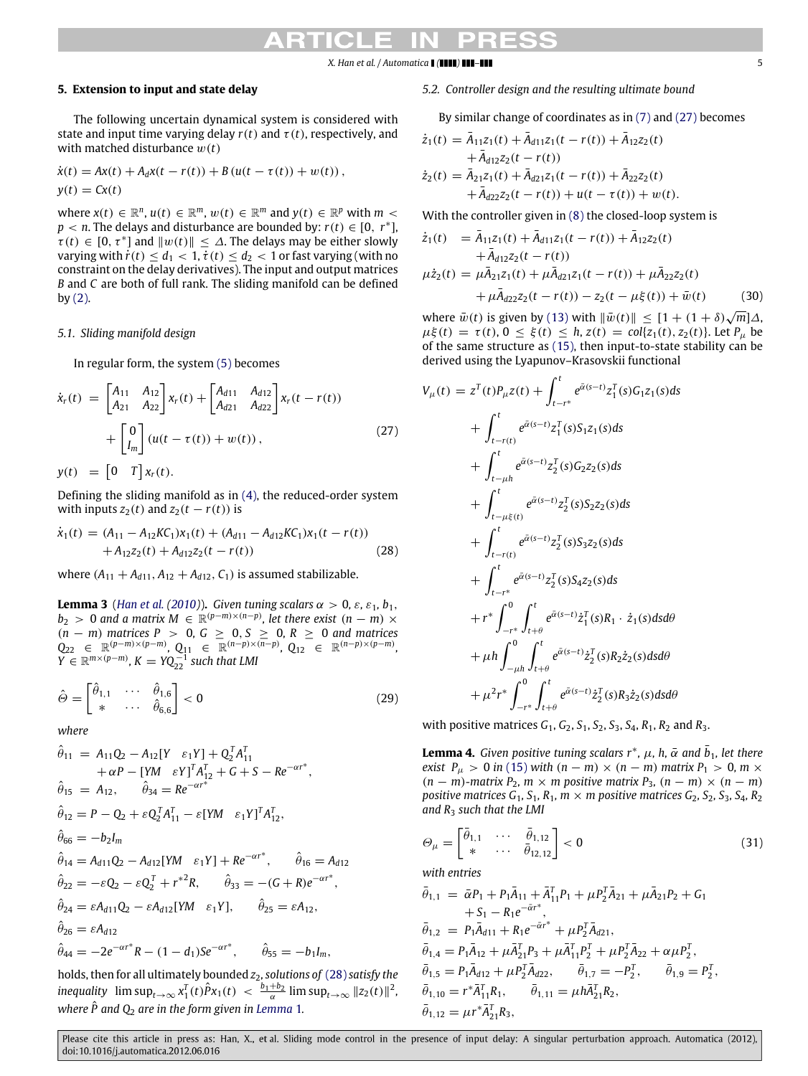# **5. Extension to input and state delay**

The following uncertain dynamical system is considered with state and input time varying delay  $r(t)$  and  $\tau(t)$ , respectively, and with matched disturbance w(*t*)

$$
\dot{x}(t) = Ax(t) + A_d x(t - r(t)) + B (u(t - \tau(t)) + w(t)),
$$
  
\n
$$
y(t) = Cx(t)
$$

where  $x(t) \in \mathbb{R}^n$ ,  $u(t) \in \mathbb{R}^m$ ,  $w(t) \in \mathbb{R}^m$  and  $y(t) \in \mathbb{R}^p$  with  $m <$  $p < n$ . The delays and disturbance are bounded by:  $r(t) \in [0, r^*]$ ,  $\tilde{\tau}(t) \in [0, \tau^*]$  and  $||w(t)|| \leq \Delta$ . The delays may be either slowly varying with  $\dot{r}(t) \leq d_1 < 1$ ,  $\dot{\tau}(t) \leq d_2 < 1$  or fast varying (with no constraint on the delay derivatives). The input and output matrices *B* and *C* are both of full rank. The sliding manifold can be defined by  $(2)$ .

# *5.1. Sliding manifold design*

In regular form, the system [\(5\)](#page-1-0) becomes

$$
\dot{x}_r(t) = \begin{bmatrix} A_{11} & A_{12} \\ A_{21} & A_{22} \end{bmatrix} x_r(t) + \begin{bmatrix} A_{d11} & A_{d12} \\ A_{d21} & A_{d22} \end{bmatrix} x_r(t - r(t)) + \begin{bmatrix} 0 \\ I_m \end{bmatrix} (u(t - \tau(t)) + w(t)),
$$
\n(27)

 $y(t) = \begin{bmatrix} 0 & T \end{bmatrix} x_r(t).$ 

Defining the sliding manifold as in [\(4\),](#page-1-6) the reduced-order system with inputs  $z_2(t)$  and  $z_2(t - r(t))$  is

$$
\dot{x}_1(t) = (A_{11} - A_{12}KC_1)x_1(t) + (A_{d11} - A_{d12}KC_1)x_1(t - r(t)) + A_{12}z_2(t) + A_{d12}z_2(t - r(t))
$$
\n(28)

where  $(A_{11} + A_{d11}, A_{12} + A_{d12}, C_1)$  is assumed stabilizable.

**Lemma 3** (*[Han](#page-8-19) [et al.](#page-8-19)* [\(2010\)](#page-8-19)). *Given tuning scalars*  $\alpha > 0$ ,  $\varepsilon$ ,  $\varepsilon_1$ ,  $b_1$ ,  $b_2 > 0$  and a matrix  $M \in \mathbb{R}^{(p-m)\times(n-p)}$ , let there exist  $(n - m) \times$ (*n* − *m*) *matrices P* > 0*, G* ≥ 0, *S* ≥ 0*, R* ≥ 0 *and matrices*  $Q_{22} \in \mathbb{R}^{(p-m)\times(p-m)}$ ,  $Q_{11} \in \mathbb{R}^{(n-p)\times(n-p)}$ ,  $Q_{12} \in \mathbb{R}^{(n-p)\times(p-m)}$ ,  $Y \in \mathbb{R}^{m \times (p-m)}$ ,  $K = YQ_{22}^{-1}$  *such that LMI* 

$$
\hat{\Theta} = \begin{bmatrix} \hat{\theta}_{1,1} & \cdots & \hat{\theta}_{1,6} \\ * & \cdots & \hat{\theta}_{6,6} \end{bmatrix} < 0
$$
\n(29)

*where*

$$
\hat{\theta}_{11} = A_{11}Q_2 - A_{12}[Y \ \varepsilon_1 Y] + Q_2^T A_{11}^T \n+ \alpha P - [YM \ \varepsilon Y]^T A_{12}^T + G + S - Re^{-\alpha r^*}, \n\hat{\theta}_{15} = A_{12}, \quad \hat{\theta}_{34} = Re^{-\alpha r^*} \n\hat{\theta}_{12} = P - Q_2 + \varepsilon Q_2^T A_{11}^T - \varepsilon [YM \ \varepsilon_1 Y]^T A_{12}^T, \n\hat{\theta}_{66} = -b_2 I_m \n\hat{\theta}_{14} = A_{d11}Q_2 - A_{d12}[YM \ \varepsilon_1 Y] + Re^{-\alpha r^*}, \quad \hat{\theta}_{16} = A_{d12} \n\hat{\theta}_{22} = -\varepsilon Q_2 - \varepsilon Q_2^T + r^{*2} R, \quad \hat{\theta}_{33} = -(G + R)e^{-\alpha r^*}, \n\hat{\theta}_{24} = \varepsilon A_{d11}Q_2 - \varepsilon A_{d12}[YM \ \varepsilon_1 Y], \quad \hat{\theta}_{25} = \varepsilon A_{12}, \n\hat{\theta}_{26} = \varepsilon A_{d12} \n\hat{\theta}_{44} = -2e^{-\alpha r^*} R - (1 - d_1)Se^{-\alpha r^*}, \quad \hat{\theta}_{55} = -b_1 I_m,
$$

holds, then for all ultimately bounded *z*2*, solutions of* [\(28\)](#page-4-0) *satisfy the*  $\int_0^T \frac{\partial u}{\partial t} \, dt$   $\int_0^T \frac{\partial u}{\partial t} \, dt$   $\int_0^T \frac{\partial^2 u}{\partial t} \, dt$   $\int_0^T \frac{\partial^2 u}{\partial t} \, dt$   $\int_0^T \frac{\partial^2 u}{\partial t} \, dt$   $\int_0^T \frac{\partial^2 u}{\partial t} \, dt$ where  $\hat{P}$  and  $Q_2$  are in the form given in [Lemma](#page-1-3) 1.

# *5.2. Controller design and the resulting ultimate bound*

By similar change of coordinates as in [\(7\)](#page-2-0) and [\(27\)](#page-4-1) becomes

$$
\dot{z}_1(t) = \bar{A}_{11}z_1(t) + \bar{A}_{d11}z_1(t - r(t)) + \bar{A}_{12}z_2(t) \n+ \bar{A}_{d12}z_2(t - r(t)) \n\dot{z}_2(t) = \bar{A}_{21}z_1(t) + \bar{A}_{d21}z_1(t - r(t)) + \bar{A}_{22}z_2(t) \n+ \bar{A}_{d22}z_2(t - r(t)) + u(t - \tau(t)) + w(t).
$$

With the controller given in [\(8\)](#page-2-1) the closed-loop system is

$$
\dot{z}_1(t) = \bar{A}_{11}z_1(t) + \bar{A}_{d11}z_1(t - r(t)) + \bar{A}_{12}z_2(t) \n+ \bar{A}_{d12}z_2(t - r(t)) \n\mu \dot{z}_2(t) = \mu \bar{A}_{21}z_1(t) + \mu \bar{A}_{d21}z_1(t - r(t)) + \mu \bar{A}_{22}z_2(t) \n+ \mu \bar{A}_{d22}z_2(t - r(t)) - z_2(t - \mu \xi(t)) + \bar{w}(t)
$$
\n(30)

<span id="page-4-2"></span>where  $\bar{w}(t)$  is given by [\(13\)](#page-2-10) with  $\|\bar{w}(t)\| \leq [1 + (1 + \delta)\sqrt{m}] \Delta$ ,  $\mu \xi(t) = \tau(t), 0 \leq \xi(t) \leq h, z(t) = \text{col}\{z_1(t), z_2(t)\}.$  Let  $P_\mu$  be of the same structure as [\(15\),](#page-2-6) then input-to-state stability can be derived using the Lyapunov–Krasovskii functional

<span id="page-4-1"></span><span id="page-4-0"></span>
$$
V_{\mu}(t) = z^{T}(t)P_{\mu}z(t) + \int_{t-r^{*}}^{t} e^{\tilde{\alpha}(s-t)}z_{1}^{T}(s)G_{1}z_{1}(s)ds
$$
  
+ 
$$
\int_{t-r(t)}^{t} e^{\tilde{\alpha}(s-t)}z_{1}^{T}(s)S_{1}z_{1}(s)ds
$$
  
+ 
$$
\int_{t-\mu h}^{t} e^{\tilde{\alpha}(s-t)}z_{2}^{T}(s)G_{2}z_{2}(s)ds
$$
  
+ 
$$
\int_{t-\mu\xi(t)}^{t} e^{\tilde{\alpha}(s-t)}z_{2}^{T}(s)S_{2}z_{2}(s)ds
$$
  
+ 
$$
\int_{t-r(t)}^{t} e^{\tilde{\alpha}(s-t)}z_{2}^{T}(s)S_{3}z_{2}(s)ds
$$
  
+ 
$$
\int_{t-r^{*}}^{t} e^{\tilde{\alpha}(s-t)}z_{2}^{T}(s)S_{4}z_{2}(s)ds
$$
  
+ 
$$
r^{*}\int_{-r^{*}}^{0} \int_{t+\theta}^{t} e^{\tilde{\alpha}(s-t)}\dot{z}_{1}^{T}(s)R_{1} \cdot \dot{z}_{1}(s)dsd\theta
$$
  
+ 
$$
\mu h \int_{-\mu h}^{0} \int_{t+\theta}^{t} e^{\tilde{\alpha}(s-t)}\dot{z}_{2}^{T}(s)R_{2}\dot{z}_{2}(s)dsd\theta
$$
  
+ 
$$
\mu^{2}r^{*}\int_{-r^{*}}^{0} \int_{t+\theta}^{t} e^{\tilde{\alpha}(s-t)}\dot{z}_{2}^{T}(s)R_{3}\dot{z}_{2}(s)dsd\theta
$$

<span id="page-4-5"></span>with positive matrices *G*1, *G*2, *S*1, *S*2, *S*3, *S*4, *R*1, *R*<sup>2</sup> and *R*3.

<span id="page-4-4"></span>**Lemma 4.** *Given positive tuning scalars*  $r^*$ *,*  $\mu$ *, h,*  $\bar{\alpha}$  *and*  $\bar{b}_1$ *, let there exist*  $P_\mu > 0$  *in* [\(15\)](#page-2-6) *with*  $(n - m) \times (n - m)$  *matrix*  $P_1 > 0$ *, m*  $\times$  $(n - m)$ -matrix  $P_2$ ,  $m \times m$  positive matrix  $P_3$ ,  $(n - m) \times (n - m)$ *positive matrices*  $G_1$ ,  $S_1$ ,  $R_1$ ,  $m \times m$  positive matrices  $G_2$ ,  $S_2$ ,  $S_3$ ,  $S_4$ ,  $R_2$ *and R*<sup>3</sup> *such that the LMI*

<span id="page-4-3"></span>
$$
\Theta_{\mu} = \begin{bmatrix} \bar{\theta}_{1,1} & \cdots & \bar{\theta}_{1,12} \\ * & \cdots & \bar{\theta}_{12,12} \end{bmatrix} < 0
$$
\nwith entries\n
$$
\bar{\theta}_{1,1} = \bar{\alpha} P_1 + P_1 \bar{A}_{11} + \bar{A}_{11}^T P_1 + \mu P_2^T \bar{A}_{21} + \mu \bar{A}_{21} P_2 + G_1 + S_1 - R_1 e^{-\bar{\alpha} r^*},
$$
\n
$$
\bar{\theta}_{1,2} = P_1 \bar{A}_{d11} + R_1 e^{-\bar{\alpha} r^*} + \mu P_2^T \bar{A}_{d21},
$$
\n
$$
\bar{\theta}_{1,4} = P_1 \bar{A}_{12} + \mu \bar{A}_{21}^T P_3 + \mu \bar{A}_{11}^T P_2^T + \mu P_2^T \bar{A}_{22} + \alpha \mu P_2^T,
$$
\n
$$
\bar{\theta}_{1,5} = P_1 \bar{A}_{d12} + \mu P_2^T \bar{A}_{d22}, \qquad \bar{\theta}_{1,7} = -P_2^T, \qquad \bar{\theta}_{1,9} = P_2^T,
$$
\n
$$
\bar{\theta}_{1,10} = r^* \bar{A}_{11}^T R_1, \qquad \bar{\theta}_{1,11} = \mu h \bar{A}_{21}^T R_2,
$$
\n
$$
\bar{\theta}_{1,12} = \mu r^* \bar{A}_{21}^T R_3,
$$
\n(31)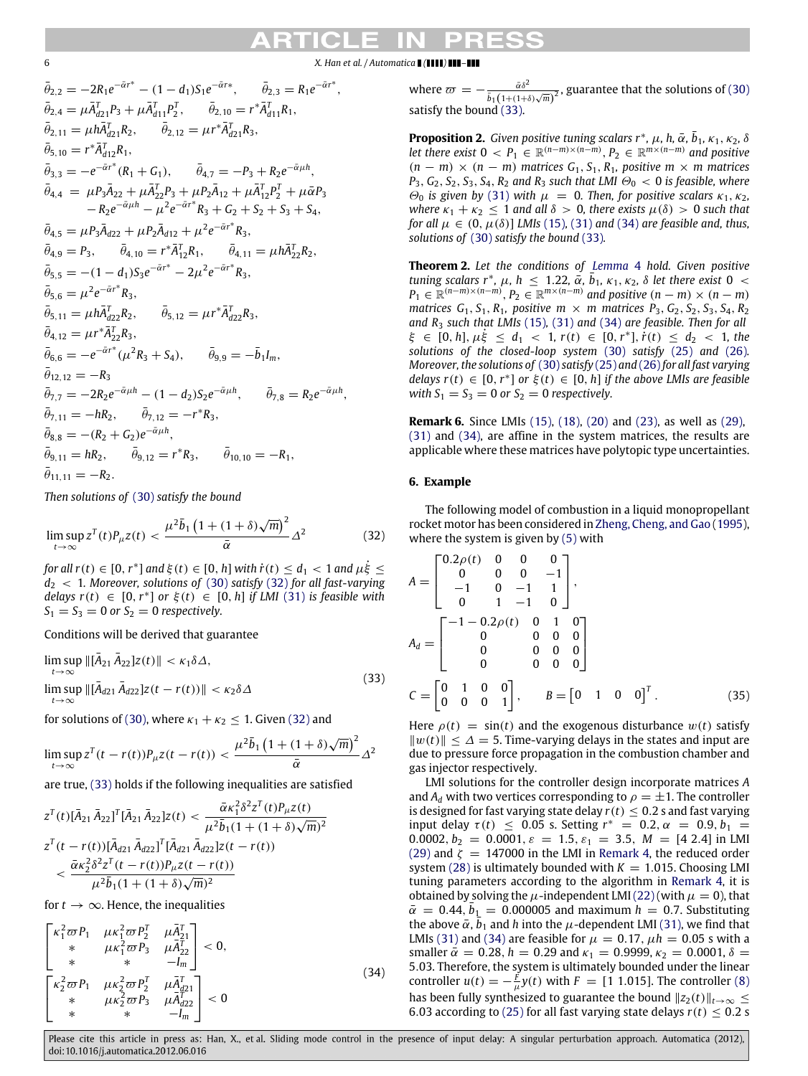$\bar{\theta}_{2,2} = -2R_1e^{-\bar{\alpha}r^*} - (1 - d_1)S_1e^{-\bar{\alpha}r^*}, \qquad \bar{\theta}_{2,3} = R_1e^{-\bar{\alpha}r^*},$  $\bar{\theta}_{2,4} = \mu \bar{A}_{d21}^T P_3 + \mu \bar{A}_{d11}^T P_2^T$ ,  $\bar{\theta}_{2,10} = r^* \bar{A}_{d11}^T R_1$ ,  $\bar{\theta}_{2,11} = \mu h \bar{A}_{d21}^T R_2, \qquad \bar{\theta}_{2,12} = \mu r^* \bar{A}_{d21}^T R_3,$  $\bar{\theta}_{5,10} = r^* \bar{A}_{d12}^T R_1,$  $\bar{\theta}_{3,3} = -e^{-\bar{\alpha}r^*}(R_1 + G_1), \qquad \bar{\theta}_{4,7} = -P_3 + R_2e^{-\bar{\alpha}\mu h},$  $\bar{\theta}_{4,4} = \mu P_3 \bar{A}_{22} + \mu \bar{A}_{22}^T P_3 + \mu P_2 \bar{A}_{12} + \mu \bar{A}_{12}^T P_2^T + \mu \bar{\alpha} P_3$  $-R_2e^{-\bar{\alpha}\mu h} - \mu^2e^{-\bar{\alpha}r^*}R_3 + G_2 + S_2 + S_3 + S_4,$  $\bar{\theta}_{4,5} = \mu P_3 \bar{A}_{d22} + \mu P_2 \bar{A}_{d12} + \mu^2 e^{-\bar{\alpha}r^*} R_3,$  $\bar{\theta}_{4,9} = P_3, \qquad \bar{\theta}_{4,10} = r^* \bar{A}_{12}^T R_1, \qquad \bar{\theta}_{4,11} = \mu h \bar{A}_{22}^T R_2,$  $\bar{\theta}_{5,5} = -(1-d_1)S_3e^{-\bar{\alpha}r^*} - 2\mu^2e^{-\bar{\alpha}r^*}R_3,$  $\bar{\theta}_{5,6} = \mu^2 e^{-\bar{\alpha}r^*} R_3,$  $\bar{\theta}_{5,11} = \mu h \bar{A}_{d22}^T R_2, \qquad \bar{\theta}$  $\mu r^* \bar{A}_{d22}^T R_3$  $\bar{\theta}_{4,12} = \mu r^* \bar{A}_{22}^T R_3,$  $\bar{\theta}_{6,6} = -e^{-\bar{\alpha}r^*}(\mu^2 R_3 + S_4), \qquad \bar{\theta}_{9,9} = -\bar{b}_1 I_m,$  $\bar{\theta}_{12,12} = -R_3$  $\bar{\theta}_{7,7} = -2R_2e^{-\bar{\alpha}\mu h} - (1 - d_2)S_2e^{-\bar{\alpha}\mu h}, \qquad \bar{\theta}_{7,8} = R_2e^{-\bar{\alpha}\mu h},$  $\bar{\theta}_{7,11} = -hR_2, \qquad \bar{\theta}_{7,12} = -r^*R_3,$  $\bar{\theta}_{8,8} = -(R_2 + G_2)e^{-\bar{\alpha}\mu h},$  $\bar{\theta}_{9,11} = hR_2, \qquad \bar{\theta}_{9,12} = r^*R_3, \qquad \bar{\theta}_{10,10} = -R_1,$  $\bar{\theta}_{11,11} = -R_2.$ 

*Then solutions of* [\(30\)](#page-4-2) *satisfy the bound*

$$
\limsup_{t \to \infty} z^T(t) P_{\mu} z(t) < \frac{\mu^2 \bar{b}_1 \left( 1 + (1 + \delta) \sqrt{m} \right)^2}{\bar{\alpha}} \Delta^2 \tag{32}
$$

*for all r*(*t*)  $\in$  [0, *r*<sup>\*</sup>] *and*  $\xi$ (*t*)  $\in$  [0, *h*] *with*  $\dot{r}$ (*t*)  $\le$  *d*<sub>1</sub>  $<$  1 *and*  $\mu \dot{\xi}$   $\le$ *d*<sup>2</sup> < 1*. Moreover, solutions of* [\(30\)](#page-4-2) *satisfy* [\(32\)](#page-5-0) *for all fast-varying delays*  $r(t) \in [0, r^*]$  *or*  $\xi(t) \in [0, h]$  *if LMI* [\(31\)](#page-4-3) *is feasible with*  $S_1 = S_3 = 0$  or  $S_2 = 0$  respectively.

Conditions will be derived that guarantee

$$
\limsup_{t \to \infty} \| [\bar{A}_{21} \bar{A}_{22}] z(t) \| < \kappa_1 \delta \Delta,
$$
\n
$$
\limsup_{t \to \infty} \| [\bar{A}_{d21} \bar{A}_{d22}] z(t - r(t)) \| < \kappa_2 \delta \Delta \tag{33}
$$

for solutions of [\(30\),](#page-4-2) where  $\kappa_1 + \kappa_2 \leq 1$ . Given [\(32\)](#page-5-0) and

$$
\limsup_{t \to \infty} z^{T} (t - r(t)) P_{\mu} z(t - r(t)) < \frac{\mu^{2} \bar{b}_{1} \left( 1 + (1 + \delta) \sqrt{m} \right)^{2}}{\bar{\alpha}} \Delta^{2}
$$

are true, [\(33\)](#page-5-1) holds if the following inequalities are satisfied

$$
z^{T}(t)[\bar{A}_{21} \bar{A}_{22}]^{T}[\bar{A}_{21} \bar{A}_{22}]z(t) < \frac{\bar{\alpha}\kappa_{1}^{2}\delta^{2}z^{T}(t)P_{\mu}z(t)}{\mu^{2}\bar{b}_{1}(1+(1+\delta)\sqrt{m})^{2}}
$$
  

$$
z^{T}(t-r(t))[\bar{A}_{d21} \bar{A}_{d22}]^{T}[\bar{A}_{d21} \bar{A}_{d22}]z(t-r(t))
$$

$$
< \frac{\bar{\alpha}\kappa_{2}^{2}\delta^{2}z^{T}(t-r(t))P_{\mu}z(t-r(t))}{\mu^{2}\bar{b}_{1}(1+(1+\delta)\sqrt{m})^{2}}
$$

for  $t \to \infty$ . Hence, the inequalities

$$
\begin{bmatrix}\n\kappa_1^2 \varpi P_1 & \mu \kappa_1^2 \varpi P_2^T & \mu \bar{A}_{21}^T \\
* & \mu \kappa_1^2 \varpi P_3 & \mu \bar{A}_{22}^T \\
* & * & -I_m\n\end{bmatrix} < 0,
$$
\n
$$
\begin{bmatrix}\n\kappa_2^2 \varpi P_1 & \mu \kappa_2^2 \varpi P_2^T & \mu \bar{A}_{d21}^T \\
* & \mu \kappa_2^2 \varpi P_3 & \mu \bar{A}_{d22}^T \\
* & * & -I_m\n\end{bmatrix} < 0
$$
\n(34)

where  $\varpi = \bar{\alpha}\delta^2$  $\frac{\alpha\delta}{\overline{b}_1(1+(1+\delta)\sqrt{m})^2}$ , guarantee that the solutions of [\(30\)](#page-4-2) satisfy the bound [\(33\).](#page-5-1)

**Proposition 2.** *Given positive tuning scalars r<sup>\*</sup>,*  $\mu$ *, h,*  $\bar{\alpha}$ *,*  $\bar{b}_1$ *,*  $\kappa_1$ *,*  $\kappa_2$ *,*  $\delta$ *let there exist*  $0 < P_1 \in \mathbb{R}^{(n-m)\times(n-m)}$ ,  $P_2 \in \mathbb{R}^{m\times(n-m)}$  and positive  $(n - m) \times (n - m)$  *matrices*  $G_1, S_1, R_1$ *, positive*  $m \times m$  *matrices*  $P_3, G_2, S_2, S_3, S_4, R_2$  *and*  $R_3$  *such that LMI*  $\Theta_0 < 0$  *is feasible, where*  $\Theta$ <sub>0</sub> is given by [\(31\)](#page-4-3) with  $\mu = 0$ . Then, for positive scalars κ<sub>1</sub>, κ<sub>2</sub>, *where*  $\kappa_1 + \kappa_2 \leq 1$  *and all*  $\delta > 0$ *, there exists*  $\mu(\delta) > 0$  *such that for all*  $\mu \in (0, \mu(\delta))$  *LMIs* [\(15\)](#page-2-6), [\(31\)](#page-4-3) *and* [\(34\)](#page-5-2) *are feasible and, thus, solutions of* [\(30\)](#page-4-2) *satisfy the bound* [\(33\)](#page-5-1)*.*

**Theorem 2.** *Let the conditions of [Lemma](#page-4-4)* 4 *hold. Given positive tuning scalars r<sup>\*</sup>,*  $\mu$ *, h*  $\leq$  1.22,  $\overline{\alpha}$ ,  $\overline{b}_1$ ,  $\kappa_1$ ,  $\kappa_2$ ,  $\delta$  *let there exist* 0 <  $P_1 \in \mathbb{R}^{(n-m)\times(n-m)}$ ,  $P_2 \in \mathbb{R}^{m\times(n-m)}$  and positive  $(n-m)\times(n-m)$ *matrices*  $G_1$ ,  $S_1$ ,  $R_1$ , positive  $m \times m$  matrices  $P_3$ ,  $G_2$ ,  $S_2$ ,  $S_3$ ,  $S_4$ ,  $R_2$ *and R*<sup>3</sup> *such that LMIs* [\(15\)](#page-2-6), [\(31\)](#page-4-3) and [\(34\)](#page-5-2) *are feasible. Then for all*  $\xi \in [0, h], \mu \dot{\xi} \leq d_1 < 1, r(t) \in [0, r^*], \dot{r}(t) \leq d_2 < 1,$  the *solutions of the closed-loop system* [\(30\)](#page-4-2) *satisfy* [\(25\)](#page-3-4) *and* [\(26\)](#page-3-5)*. Moreover, the solutions of* [\(30\)](#page-4-2) *satisfy* [\(25\)](#page-3-4) and [\(26\)](#page-3-5)*for all fast varying delays*  $r(t) \in [0, r^*]$  *or*  $\xi(t) \in [0, h]$  *if the above LMIs are feasible with*  $S_1 = S_3 = 0$  *or*  $S_2 = 0$  *respectively.* 

**Remark 6.** Since LMIs [\(15\),](#page-2-6) [\(18\),](#page-2-7) [\(20\)](#page-3-0) and [\(23\),](#page-3-3) as well as [\(29\),](#page-4-5) [\(31\)](#page-4-3) and [\(34\),](#page-5-2) are affine in the system matrices, the results are applicable where these matrices have polytopic type uncertainties.

# **6. Example**

<span id="page-5-0"></span>The following model of combustion in a liquid monopropellant rocket motor has been considered in [Zheng,](#page-8-22) [Cheng,](#page-8-22) [and](#page-8-22) [Gao](#page-8-22) [\(1995\)](#page-8-22), where the system is given by [\(5\)](#page-1-0) with

$$
A = \begin{bmatrix} 0.2\rho(t) & 0 & 0 & 0 \\ 0 & 0 & 0 & -1 \\ -1 & 0 & -1 & 1 \\ 0 & 1 & -1 & 0 \end{bmatrix},
$$
  
\n
$$
A_d = \begin{bmatrix} -1 - 0.2\rho(t) & 0 & 1 & 0 \\ 0 & 0 & 0 & 0 \\ 0 & 0 & 0 & 0 \\ 0 & 0 & 0 & 0 \end{bmatrix}
$$
  
\n
$$
C = \begin{bmatrix} 0 & 1 & 0 & 0 \\ 0 & 0 & 0 & 1 \end{bmatrix}, \qquad B = \begin{bmatrix} 0 & 1 & 0 & 0 \end{bmatrix}^T.
$$
 (35)

<span id="page-5-3"></span><span id="page-5-1"></span>Here  $\rho(t) = \sin(t)$  and the exogenous disturbance  $w(t)$  satisfy ∥w(*t*)∥ ≤ ∆ = 5. Time-varying delays in the states and input are due to pressure force propagation in the combustion chamber and gas injector respectively.

<span id="page-5-2"></span>LMI solutions for the controller design incorporate matrices *A* and  $A_d$  with two vertices corresponding to  $\rho = \pm 1$ . The controller is designed for fast varying state delay  $r(t) < 0.2$  s and fast varying input delay  $\tau(t) \leq 0.05$  s. Setting  $r^* = 0.2$ ,  $\alpha = 0.9$ ,  $b_1 =$ 0.0002,  $b_2 = 0.0001$ ,  $\varepsilon = 1.5$ ,  $\varepsilon_1 = 3.5$ ,  $M = [4 2.4]$  in LMI [\(29\)](#page-4-5) and  $\zeta = 147000$  in the LMI in [Remark 4,](#page-3-8) the reduced order system  $(28)$  is ultimately bounded with  $K = 1.015$ . Choosing LMI tuning parameters according to the algorithm in [Remark 4,](#page-3-8) it is obtained by solving the  $\mu$ -independent LMI [\(22\)](#page-3-2) (with  $\mu = 0$ ), that  $\bar{\alpha} = 0.44, \bar{b}_1 = 0.000005$  and maximum  $h = 0.7$ . Substituting the above  $\bar{\alpha}$ ,  $\bar{b}_1$  and *h* into the  $\mu$ -dependent LMI [\(31\),](#page-4-3) we find that LMIs [\(31\)](#page-4-3) and [\(34\)](#page-5-2) are feasible for  $\mu = 0.17$ ,  $\mu h = 0.05$  s with a smaller  $\bar{\alpha} = 0.28$ ,  $h = 0.29$  and  $\kappa_1 = 0.9999$ ,  $\kappa_2 = 0.0001$ ,  $\delta =$ 5.03. Therefore, the system is ultimately bounded under the linear controller  $u(t) = -\frac{F}{\mu}y(t)$  with  $F = [1 \ 1.015]$ . The controller [\(8\)](#page-2-1) has been fully synthesized to guarantee the bound  $||z_2(t)||_{t\to\infty} \le$ 6.03 according to [\(25\)](#page-3-4) for all fast varying state delays  $r(t) \leq 0.2$  s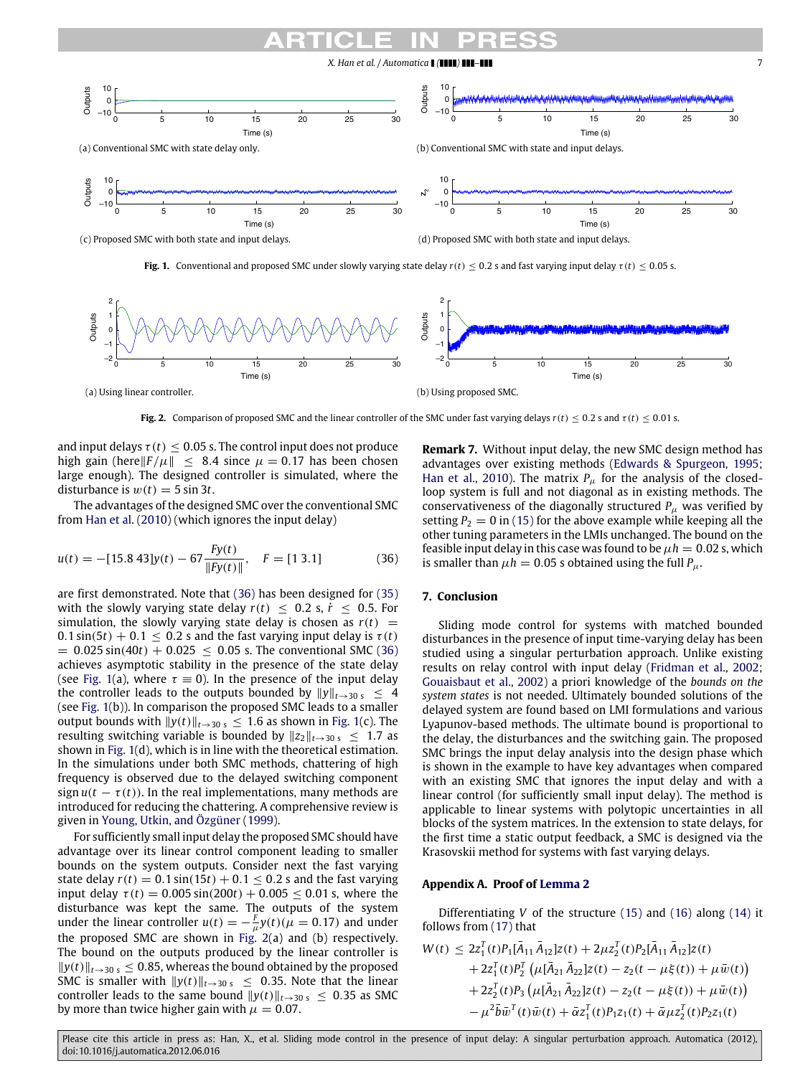<span id="page-6-1"></span>

**Fig. 1.** Conventional and proposed SMC under slowly varying state delay  $r(t) < 0.2$  s and fast varying input delay  $\tau(t) < 0.05$  s.

<span id="page-6-2"></span>

**Fig. 2.** Comparison of proposed SMC and the linear controller of the SMC under fast varying delays  $r(t) \le 0.2$  s and  $\tau(t) \le 0.01$  s.

and input delays  $\tau(t) \leq 0.05$  s. The control input does not produce high gain (here $\|F/\mu\| \leq 8.4$  since  $\mu = 0.17$  has been chosen large enough). The designed controller is simulated, where the disturbance is  $w(t) = 5 \sin 3t$ .

The advantages of the designed SMC over the conventional SMC from [Han](#page-8-19) [et al.](#page-8-19) [\(2010\)](#page-8-19) (which ignores the input delay)

$$
u(t) = -[15.8 \, 43]y(t) - 67 \frac{Fy(t)}{\|Fy(t)\|}, \quad F = [1 \, 3.1] \tag{36}
$$

are first demonstrated. Note that [\(36\)](#page-6-0) has been designed for [\(35\)](#page-5-3) with the slowly varying state delay  $r(t) \leq 0.2$  s,  $\dot{r} \leq 0.5$ . For simulation, the slowly varying state delay is chosen as  $r(t)$  =  $0.1 \sin(5t) + 0.1 \le 0.2$  s and the fast varying input delay is  $\tau(t)$  $= 0.025 \sin(40t) + 0.025 \le 0.05$  s. The conventional SMC [\(36\)](#page-6-0) achieves asymptotic stability in the presence of the state delay (see [Fig. 1\(](#page-6-1)a), where  $\tau \equiv 0$ ). In the presence of the input delay the controller leads to the outputs bounded by  $||y||_{t\rightarrow 30 \text{ s}} \leq 4$ (see [Fig. 1\(](#page-6-1)b)). In comparison the proposed SMC leads to a smaller output bounds with  $||y(t)||_{t\rightarrow 30 \text{ s}}$  ≤ 1.6 as shown in [Fig. 1\(](#page-6-1)c). The resulting switching variable is bounded by  $||z_2||_{t\rightarrow 30 \text{ s}} \leq 1.7$  as shown in [Fig. 1\(](#page-6-1)d), which is in line with the theoretical estimation. In the simulations under both SMC methods, chattering of high frequency is observed due to the delayed switching component sign  $u(t - \tau(t))$ . In the real implementations, many methods are introduced for reducing the chattering. A comprehensive review is given in [Young,](#page-8-23) [Utkin,](#page-8-23) [and](#page-8-23) [Özgüner](#page-8-23) [\(1999\)](#page-8-23).

For sufficiently small input delay the proposed SMC should have advantage over its linear control component leading to smaller bounds on the system outputs. Consider next the fast varying state delay  $r(t) = 0.1 \sin(15t) + 0.1 \le 0.2$  s and the fast varying input delay  $\tau(t) = 0.005 \sin(200t) + 0.005 \le 0.01$  s, where the disturbance was kept the same. The outputs of the system under the linear controller  $u(t) = -\frac{F}{\mu}y(t)(\mu = 0.17)$  and under the proposed SMC are shown in [Fig. 2\(](#page-6-2)a) and (b) respectively. The bound on the outputs produced by the linear controller is ∥*y*(*t*)∥*t*→30 s ≤ 0.85, whereas the bound obtained by the proposed SMC is smaller with  $||y(t)||_{t\rightarrow 30 \text{ s}} \leq 0.35$ . Note that the linear controller leads to the same bound  $||y(t)||_{t\rightarrow 30 \text{ s}} \leq 0.35$  as SMC by more than twice higher gain with  $\mu = 0.07$ .

**Remark 7.** Without input delay, the new SMC design method has advantages over existing methods [\(Edwards](#page-7-5) [&](#page-7-5) [Spurgeon,](#page-7-5) [1995;](#page-7-5) [Han](#page-8-19) [et al.,](#page-8-19) [2010\)](#page-8-19). The matrix  $P_{\mu}$  for the analysis of the closedloop system is full and not diagonal as in existing methods. The conservativeness of the diagonally structured  $P_{\mu}$  was verified by setting  $P_2 = 0$  in [\(15\)](#page-2-6) for the above example while keeping all the other tuning parameters in the LMIs unchanged. The bound on the feasible input delay in this case was found to be  $\mu h = 0.02$  s, which is smaller than  $\mu h = 0.05$  s obtained using the full  $P_\mu$ .

### <span id="page-6-0"></span>**7. Conclusion**

Sliding mode control for systems with matched bounded disturbances in the presence of input time-varying delay has been studied using a singular perturbation approach. Unlike existing results on relay control with input delay [\(Fridman](#page-8-10) [et al.,](#page-8-10) [2002;](#page-8-10) [Gouaisbaut](#page-8-12) [et al.,](#page-8-12) [2002\)](#page-8-12) a priori knowledge of the *bounds on the system states* is not needed. Ultimately bounded solutions of the delayed system are found based on LMI formulations and various Lyapunov-based methods. The ultimate bound is proportional to the delay, the disturbances and the switching gain. The proposed SMC brings the input delay analysis into the design phase which is shown in the example to have key advantages when compared with an existing SMC that ignores the input delay and with a linear control (for sufficiently small input delay). The method is applicable to linear systems with polytopic uncertainties in all blocks of the system matrices. In the extension to state delays, for the first time a static output feedback, a SMC is designed via the Krasovskii method for systems with fast varying delays.

## **Appendix A. Proof of [Lemma 2](#page-2-9)**

Differentiating *V* of the structure [\(15\)](#page-2-6) and [\(16\)](#page-2-11) along [\(14\)](#page-2-4) it follows from [\(17\)](#page-2-12) that

$$
W(t) \leq 2z_1^T(t)P_1[\bar{A}_{11}\bar{A}_{12}]z(t) + 2\mu z_2^T(t)P_2[\bar{A}_{11}\bar{A}_{12}]z(t) + 2z_1^T(t)P_2^T(\mu[\bar{A}_{21}\bar{A}_{22}]z(t) - z_2(t - \mu\xi(t)) + \mu\bar{w}(t)) + 2z_2^T(t)P_3(\mu[\bar{A}_{21}\bar{A}_{22}]z(t) - z_2(t - \mu\xi(t)) + \mu\bar{w}(t)) - \mu^2\bar{b}\bar{w}^T(t)\bar{w}(t) + \bar{\alpha}z_1^T(t)P_1z_1(t) + \bar{\alpha}\mu z_2^T(t)P_2z_1(t)
$$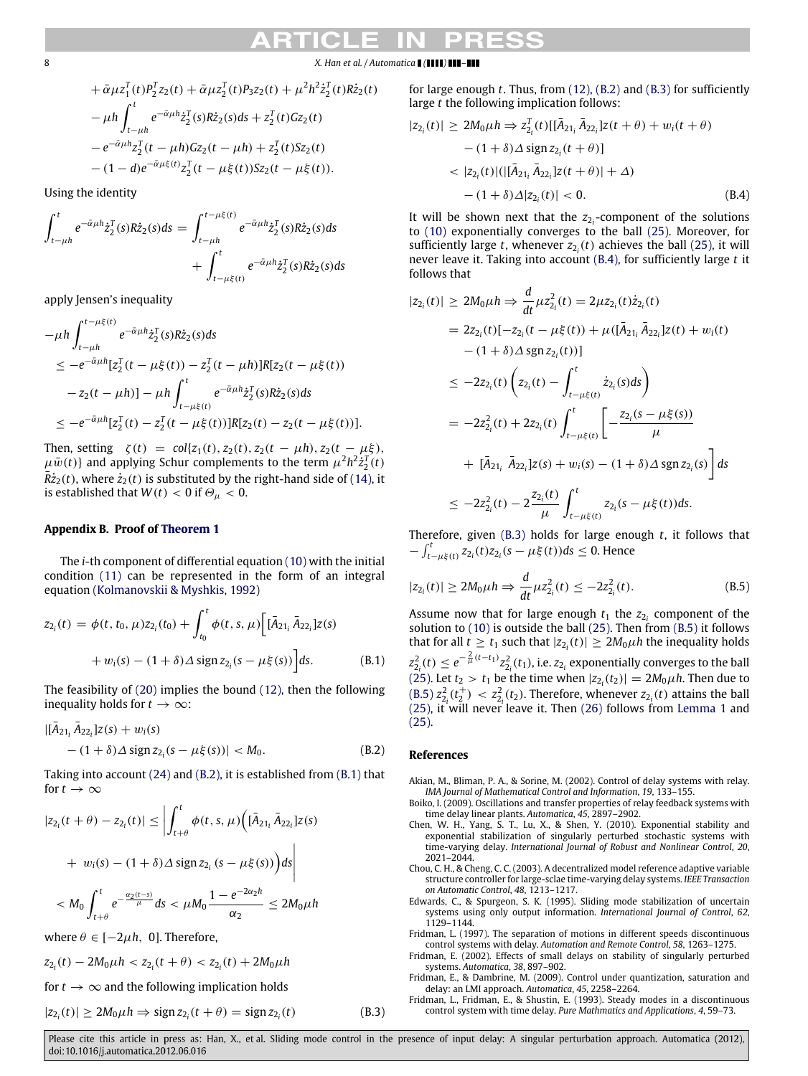# 8 *X. Han et al. / Automatica* **<b>1 (1111) 111-111**

$$
+\bar{\alpha}\mu z_1^T(t)P_2^T z_2(t) + \bar{\alpha}\mu z_2^T(t)P_3 z_2(t) + \mu^2 h^2 \dot{z}_2^T(t)R\dot{z}_2(t) \n-\mu h \int_{t-\mu h}^t e^{-\bar{\alpha}\mu h} \dot{z}_2^T(s)R\dot{z}_2(s)ds + z_2^T(t)Gz_2(t) \n-e^{-\bar{\alpha}\mu h} z_2^T(t-\mu h)Gz_2(t-\mu h) + z_2^T(t)Sz_2(t) \n-(1-d)e^{-\bar{\alpha}\mu\xi(t)} z_2^T(t-\mu\xi(t))Sz_2(t-\mu\xi(t)).
$$

Using the identity

$$
\int_{t-\mu h}^{t} e^{-\bar{\alpha}\mu h} \dot{z}_{2}^{T}(s) R \dot{z}_{2}(s) ds = \int_{t-\mu h}^{t-\mu \xi(t)} e^{-\bar{\alpha}\mu h} \dot{z}_{2}^{T}(s) R \dot{z}_{2}(s) ds + \int_{t-\mu \xi(t)}^{t} e^{-\bar{\alpha}\mu h} \dot{z}_{2}^{T}(s) R \dot{z}_{2}(s) ds
$$

apply Jensen's inequality

$$
-\mu h \int_{t-\mu h}^{t-\mu\xi(t)} e^{-\bar{\alpha}\mu h} \dot{z}_2^T(s) R \dot{z}_2(s) ds
$$
  
\n
$$
\leq -e^{-\bar{\alpha}\mu h} [z_2^T(t-\mu\xi(t)) - z_2^T(t-\mu h)] R [z_2(t-\mu\xi(t))
$$
  
\n
$$
-z_2(t-\mu h)] - \mu h \int_{t-\mu\xi(t)}^t e^{-\bar{\alpha}\mu h} \dot{z}_2^T(s) R \dot{z}_2(s) ds
$$
  
\n
$$
\leq -e^{-\bar{\alpha}\mu h} [z_2^T(t) - z_2^T(t-\mu\xi(t))] R [z_2(t) - z_2(t-\mu\xi(t))].
$$

Then, setting  $\zeta(t) = \text{col}\{z_1(t), z_2(t), z_2(t - \mu h), z_2(t - \mu \xi)\}$  $\mu\bar{w}(t)$ } and applying Schur complements to the term  $\mu^2h^2\dot{z}_2^T(t)$  $\bar{R}z_2(t)$ , where  $\dot{z}_2(t)$  is substituted by the right-hand side of [\(14\),](#page-2-4) it is established that  $W(t) < 0$  if  $\Theta_{\mu} < 0$ .

## **Appendix B. Proof of [Theorem 1](#page-3-7)**

The *i*-th component of differential equation [\(10\)](#page-2-3) with the initial condition [\(11\)](#page-2-13) can be represented in the form of an integral equation [\(Kolmanovskii](#page-8-24) [&](#page-8-24) [Myshkis,](#page-8-24) [1992\)](#page-8-24)

$$
z_{2_i}(t) = \phi(t, t_0, \mu) z_{2_i}(t_0) + \int_{t_0}^t \phi(t, s, \mu) \Big[ [\bar{A}_{21_i} \, \bar{A}_{22_i}] z(s)
$$
  
+  $w_i(s) - (1 + \delta) \Delta \operatorname{sign} z_{2_i}(s - \mu \xi(s)) \Big] ds.$  (B.1)

The feasibility of [\(20\)](#page-3-0) implies the bound [\(12\),](#page-2-8) then the following inequality holds for  $t \to \infty$ :

$$
\begin{aligned} |[\bar{A}_{21_i} \bar{A}_{22_i}] z(s) + w_i(s) \\ &- (1 + \delta) \Delta \operatorname{sign} z_{2_i} (s - \mu \xi(s)) | < M_0. \end{aligned} \tag{B.2}
$$

Taking into account [\(24\)](#page-3-9) and [\(B.2\),](#page-7-9) it is established from [\(B.1\)](#page-7-10) that for  $t \to \infty$ 

$$
|z_{2_i}(t + \theta) - z_{2_i}(t)| \le \left| \int_{t+\theta}^t \phi(t, s, \mu) \left( [\bar{A}_{21_i} \, \bar{A}_{22_i}] z(s) \right. \right.+ w_i(s) - (1 + \delta) \Delta \operatorname{sign} z_{2_i} (s - \mu \xi(s)) \Big) ds \right|
$$
  

$$
< M_0 \int_{t+\theta}^t e^{-\frac{\alpha_2(t-s)}{\mu}} ds < \mu M_0 \frac{1 - e^{-2\alpha_2 h}}{\alpha_2} \le 2M_0 \mu h
$$

where  $\theta \in [-2\mu h, 0]$ . Therefore,

$$
z_{2_i}(t) - 2M_0\mu h < z_{2_i}(t + \theta) < z_{2_i}(t) + 2M_0\mu h
$$

for  $t \to \infty$  and the following implication holds

$$
|z_{2_i}(t)| \ge 2M_0\mu h \Rightarrow \text{sign}\, z_{2_i}(t+\theta) = \text{sign}\, z_{2_i}(t)
$$

for large enough *t*. Thus, from [\(12\),](#page-2-8) [\(B.2\)](#page-7-9) and [\(B.3\)](#page-7-11) for sufficiently large *t* the following implication follows:

$$
|z_{2_i}(t)| \ge 2M_0\mu h \Rightarrow z_{2_i}^T(t)[[\bar{A}_{21_i}\bar{A}_{22_i}]z(t+\theta) + w_i(t+\theta) - (1+\delta)\Delta \text{ sign } z_{2_i}(t+\theta)] < |z_{2_i}(t)|(|[\bar{A}_{21_i}\bar{A}_{22_i}]z(t+\theta)| + \Delta) - (1+\delta)\Delta|z_{2_i}(t)| < 0.
$$
 (B.4)

<span id="page-7-12"></span>It will be shown next that the  $z_{2i}$ -component of the solutions to [\(10\)](#page-2-3) exponentially converges to the ball [\(25\).](#page-3-4) Moreover, for sufficiently large *t*, whenever  $z_{2i}(t)$  achieves the ball [\(25\),](#page-3-4) it will never leave it. Taking into account [\(B.4\),](#page-7-12) for sufficiently large *t* it follows that

$$
|z_{2_i}(t)| \ge 2M_0\mu h \Rightarrow \frac{d}{dt}\mu z_{2_i}^2(t) = 2\mu z_{2_i}(t)\dot{z}_{2_i}(t)
$$
  
\n
$$
= 2z_{2_i}(t)[-z_{2_i}(t-\mu\xi(t)) + \mu([\bar{A}_{21_i}\bar{A}_{22_i}]z(t) + w_i(t)
$$
  
\n
$$
-(1+\delta)\Delta \operatorname{sgn} z_{2_i}(t))]
$$
  
\n
$$
\le -2z_{2_i}(t)\left(z_{2_i}(t) - \int_{t-\mu\xi(t)}^t \dot{z}_{2_i}(s)ds\right)
$$
  
\n
$$
= -2z_{2_i}^2(t) + 2z_{2_i}(t)\int_{t-\mu\xi(t)}^t \left[-\frac{z_{2_i}(s-\mu\xi(s))}{\mu}\right]
$$
  
\n
$$
+ [\bar{A}_{21_i}\bar{A}_{22_i}]z(s) + w_i(s) - (1+\delta)\Delta \operatorname{sgn} z_{2_i}(s)\right]ds
$$
  
\n
$$
\le -2z_{2_i}^2(t) - 2\frac{z_{2_i}(t)}{\mu}\int_{t-\mu\xi(t)}^t z_{2_i}(s-\mu\xi(t))ds.
$$

Therefore, given [\(B.3\)](#page-7-11) holds for large enough *t*, it follows that  $-\int_{t-\mu\xi(t)}^{t} z_{2_i}(t) z_{2_i}(s - \mu\xi(t)) ds$  ≤ 0. Hence

<span id="page-7-13"></span>
$$
|z_{2_i}(t)| \ge 2M_0\mu h \Rightarrow \frac{d}{dt}\mu z_{2_i}^2(t) \le -2z_{2_i}^2(t). \tag{B.5}
$$

<span id="page-7-10"></span>Assume now that for large enough  $t_1$  the  $z_{2i}$  component of the solution to [\(10\)](#page-2-3) is outside the ball [\(25\).](#page-3-4) Then from [\(B.5\)](#page-7-13) it follows that for all  $t \ge t_1$  such that  $|z_{2i}(t)| \ge 2M_0\mu h$  the inequality holds  $z_{2_i}^2(t) \leq e^{-\frac{2}{\mu}(t-t_1)}z_{2_i}^2(t_1)$ , i.e.  $z_{2_i}$  exponentially converges to the ball [\(25\).](#page-3-4) Let  $t_2 > t_1$  be the time when  $|z_{2i}(t_2)| = 2M_0\mu h$ . Then due to [\(B.5\)](#page-7-13)  $z_{2i}^2(t_2^+)$  <  $z_{2i}^2(t_2)$ . Therefore, whenever  $z_{2i}(t)$  attains the ball [\(25\),](#page-3-4) it will never leave it. Then [\(26\)](#page-3-5) follows from [Lemma 1](#page-1-3) and [\(25\).](#page-3-4)

### <span id="page-7-9"></span>**References**

- <span id="page-7-3"></span>Akian, M., Bliman, P. A., & Sorine, M. (2002). Control of delay systems with relay. *IMA Journal of Mathematical Control and Information*, *19*, 133–155.
- <span id="page-7-4"></span>Boiko, I. (2009). Oscillations and transfer properties of relay feedback systems with time delay linear plants. *Automatica*, *45*, 2897–2902.
- <span id="page-7-8"></span>Chen, W. H., Yang, S. T., Lu, X., & Shen, Y. (2010). Exponential stability and exponential stabilization of singularly perturbed stochastic systems with time-varying delay. *International Journal of Robust and Nonlinear Control*, *20*, 2021–2044.
- <span id="page-7-2"></span>Chou, C. H., & Cheng, C. C. (2003). A decentralized model reference adaptive variable structure controller for large-sclae time-varying delay systems. *IEEE Transaction on Automatic Control*, *48*, 1213–1217.
- <span id="page-7-5"></span>Edwards, C., & Spurgeon, S. K. (1995). Sliding mode stabilization of uncertain systems using only output information. *International Journal of Control*, *62*, 1129–1144.
- <span id="page-7-0"></span>Fridman, L. (1997). The separation of motions in different speeds discontinuous control systems with delay. *Automation and Remote Control*, *58*, 1263–1275.
- <span id="page-7-7"></span>Fridman, E. (2002). Effects of small delays on stability of singularly perturbed systems. *Automatica*, *38*, 897–902.
- <span id="page-7-6"></span>Fridman, E., & Dambrine, M. (2009). Control under quantization, saturation and delay: an LMI approach. *Automatica*, *45*, 2258–2264.
- <span id="page-7-11"></span><span id="page-7-1"></span>Fridman, L., Fridman, E., & Shustin, E. (1993). Steady modes in a discontinuous control system with time delay. *Pure Mathmatics and Applications*, *4*, 59–73.

Please cite this article in press as: Han, X., et al. Sliding mode control in the presence of input delay: A singular perturbation approach. Automatica (2012). doi:10.1016/j.automatica.2012.06.016

(*t*) (B.3)